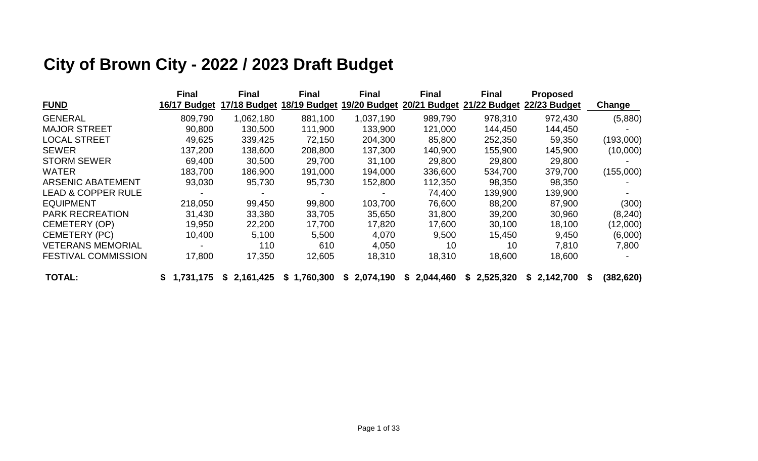# **City of Brown City - 2022 / 2023 Draft Budget**

|                               | <b>Final</b> | <b>Final</b> | <b>Final</b> | <b>Final</b> | <b>Final</b>    | <b>Final</b> | <b>Proposed</b> |                  |
|-------------------------------|--------------|--------------|--------------|--------------|-----------------|--------------|-----------------|------------------|
| <b>FUND</b>                   | 16/17 Budget | 17/18 Budget | 18/19 Budget | 19/20 Budget | 20/21 Budget    | 21/22 Budget | 22/23 Budget    | Change           |
| <b>GENERAL</b>                | 809,790      | 1,062,180    | 881,100      | 1,037,190    | 989,790         | 978,310      | 972,430         | (5,880)          |
| <b>MAJOR STREET</b>           | 90,800       | 130,500      | 111,900      | 133,900      | 121,000         | 144,450      | 144,450         |                  |
| <b>LOCAL STREET</b>           | 49,625       | 339,425      | 72,150       | 204,300      | 85,800          | 252,350      | 59,350          | (193,000)        |
| <b>SEWER</b>                  | 137,200      | 138,600      | 208,800      | 137,300      | 140,900         | 155,900      | 145,900         | (10,000)         |
| <b>STORM SEWER</b>            | 69,400       | 30,500       | 29,700       | 31,100       | 29,800          | 29,800       | 29,800          |                  |
| <b>WATER</b>                  | 183,700      | 186,900      | 191,000      | 194,000      | 336,600         | 534,700      | 379,700         | (155,000)        |
| <b>ARSENIC ABATEMENT</b>      | 93,030       | 95,730       | 95,730       | 152,800      | 112,350         | 98,350       | 98,350          |                  |
| <b>LEAD &amp; COPPER RULE</b> |              |              |              |              | 74,400          | 139,900      | 139,900         |                  |
| <b>EQUIPMENT</b>              | 218,050      | 99,450       | 99,800       | 103,700      | 76,600          | 88,200       | 87,900          | (300)            |
| <b>PARK RECREATION</b>        | 31,430       | 33,380       | 33,705       | 35,650       | 31,800          | 39,200       | 30,960          | (8, 240)         |
| <b>CEMETERY (OP)</b>          | 19,950       | 22,200       | 17,700       | 17,820       | 17,600          | 30,100       | 18,100          | (12,000)         |
| <b>CEMETERY (PC)</b>          | 10,400       | 5,100        | 5,500        | 4,070        | 9,500           | 15,450       | 9,450           | (6,000)          |
| <b>VETERANS MEMORIAL</b>      |              | 110          | 610          | 4,050        | 10              | 10           | 7,810           | 7,800            |
| <b>FESTIVAL COMMISSION</b>    | 17,800       | 17,350       | 12,605       | 18,310       | 18,310          | 18,600       | 18,600          |                  |
| <b>TOTAL:</b>                 | 1,731,175    | \$2,161,425  | \$1,760,300  | \$2,074,190  | 2,044,460<br>S. | \$2,525,320  | \$2,142,700     | (382, 620)<br>S. |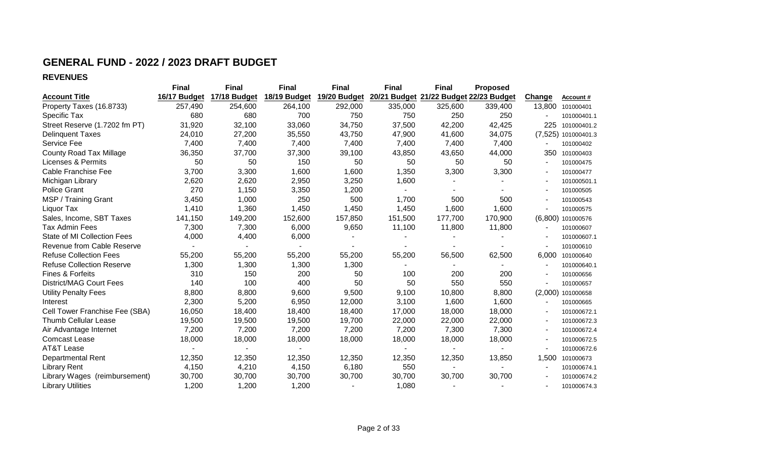### **GENERAL FUND - 2022 / 2023 DRAFT BUDGET**

**REVENUES**

|                                  | <b>Final</b> | <b>Final</b> | <b>Final</b> | <b>Final</b> | <b>Final</b> | <b>Final</b>                           | <b>Proposed</b> |          |                   |
|----------------------------------|--------------|--------------|--------------|--------------|--------------|----------------------------------------|-----------------|----------|-------------------|
| <b>Account Title</b>             | 16/17 Budget | 17/18 Budget | 18/19 Budget | 19/20 Budget |              | 20/21 Budget 21/22 Budget 22/23 Budget |                 | Change   | Account#          |
| Property Taxes (16.8733)         | 257,490      | 254,600      | 264,100      | 292,000      | 335,000      | 325,600                                | 339,400         | 13,800   | 101000401         |
| Specific Tax                     | 680          | 680          | 700          | 750          | 750          | 250                                    | 250             |          | 101000401.1       |
| Street Reserve (1.7202 fm PT)    | 31,920       | 32,100       | 33,060       | 34,750       | 37,500       | 42,200                                 | 42,425          | 225      | 101000401.2       |
| <b>Delinguent Taxes</b>          | 24,010       | 27,200       | 35,550       | 43,750       | 47,900       | 41,600                                 | 34,075          | (7, 525) | 101000401.3       |
| Service Fee                      | 7,400        | 7,400        | 7,400        | 7,400        | 7,400        | 7,400                                  | 7,400           |          | 101000402         |
| <b>County Road Tax Millage</b>   | 36,350       | 37,700       | 37,300       | 39,100       | 43,850       | 43,650                                 | 44,000          | 350      | 101000403         |
| Licenses & Permits               | 50           | 50           | 150          | 50           | 50           | 50                                     | 50              |          | 101000475         |
| Cable Franchise Fee              | 3,700        | 3,300        | 1,600        | 1,600        | 1,350        | 3,300                                  | 3,300           |          | 101000477         |
| Michigan Library                 | 2,620        | 2,620        | 2,950        | 3,250        | 1,600        |                                        |                 |          | 101000501.1       |
| <b>Police Grant</b>              | 270          | 1,150        | 3,350        | 1,200        |              |                                        |                 |          | 101000505         |
| MSP / Training Grant             | 3,450        | 1,000        | 250          | 500          | 1,700        | 500                                    | 500             |          | 101000543         |
| Liquor Tax                       | 1,410        | 1,360        | 1,450        | 1,450        | 1,450        | 1,600                                  | 1,600           |          | 101000575         |
| Sales, Income, SBT Taxes         | 141,150      | 149,200      | 152,600      | 157,850      | 151,500      | 177,700                                | 170,900         |          | (6,800) 101000576 |
| <b>Tax Admin Fees</b>            | 7,300        | 7,300        | 6,000        | 9,650        | 11,100       | 11,800                                 | 11,800          |          | 101000607         |
| State of MI Collection Fees      | 4,000        | 4,400        | 6,000        |              |              |                                        |                 |          | 101000607.1       |
| Revenue from Cable Reserve       |              |              |              |              |              |                                        |                 |          | 101000610         |
| <b>Refuse Collection Fees</b>    | 55,200       | 55,200       | 55,200       | 55,200       | 55,200       | 56,500                                 | 62,500          | 6,000    | 101000640         |
| <b>Refuse Collection Reserve</b> | 1,300        | 1,300        | 1,300        | 1,300        |              |                                        |                 |          | 101000640.1       |
| Fines & Forfeits                 | 310          | 150          | 200          | 50           | 100          | 200                                    | 200             |          | 101000656         |
| <b>District/MAG Court Fees</b>   | 140          | 100          | 400          | 50           | 50           | 550                                    | 550             |          | 101000657         |
| <b>Utility Penalty Fees</b>      | 8,800        | 8,800        | 9,600        | 9,500        | 9,100        | 10,800                                 | 8,800           |          | (2,000) 101000658 |
| Interest                         | 2,300        | 5,200        | 6,950        | 12,000       | 3,100        | 1,600                                  | 1,600           |          | 101000665         |
| Cell Tower Franchise Fee (SBA)   | 16,050       | 18,400       | 18,400       | 18,400       | 17,000       | 18,000                                 | 18,000          |          | 101000672.1       |
| <b>Thumb Cellular Lease</b>      | 19,500       | 19,500       | 19,500       | 19,700       | 22,000       | 22,000                                 | 22,000          |          | 101000672.3       |
| Air Advantage Internet           | 7,200        | 7,200        | 7,200        | 7,200        | 7,200        | 7,300                                  | 7,300           |          | 101000672.4       |
| <b>Comcast Lease</b>             | 18,000       | 18,000       | 18,000       | 18,000       | 18,000       | 18,000                                 | 18,000          |          | 101000672.5       |
| <b>AT&amp;T Lease</b>            |              |              |              |              |              |                                        |                 |          | 101000672.6       |
| <b>Departmental Rent</b>         | 12,350       | 12,350       | 12,350       | 12,350       | 12,350       | 12,350                                 | 13,850          | 1,500    | 101000673         |
| <b>Library Rent</b>              | 4,150        | 4,210        | 4,150        | 6,180        | 550          |                                        |                 |          | 101000674.1       |
| Library Wages (reimbursement)    | 30,700       | 30,700       | 30,700       | 30,700       | 30,700       | 30,700                                 | 30,700          |          | 101000674.2       |
| <b>Library Utilities</b>         | 1,200        | 1,200        | 1,200        |              | 1,080        |                                        |                 |          | 101000674.3       |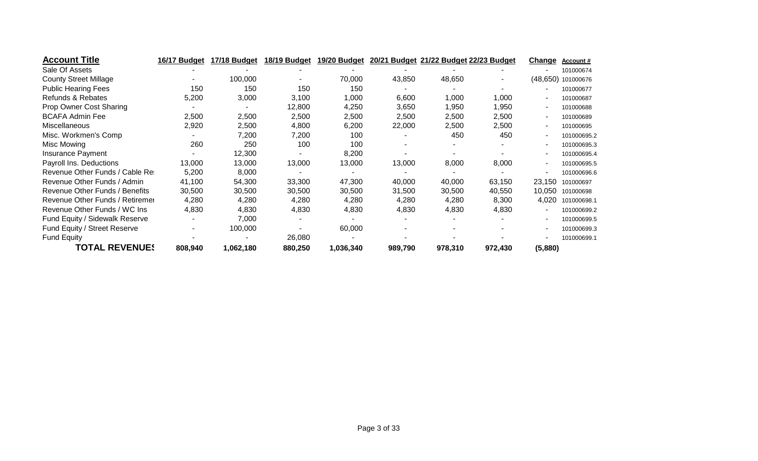| <b>Account Title</b>            | 16/17 Budget | 17/18 Budget | 18/19 Budget | 19/20 Budget |         | 20/21 Budget 21/22 Budget 22/23 Budget |         | Change  | <b>Account #</b>   |
|---------------------------------|--------------|--------------|--------------|--------------|---------|----------------------------------------|---------|---------|--------------------|
| Sale Of Assets                  |              |              |              |              |         |                                        |         |         | 101000674          |
| <b>County Street Millage</b>    |              | 100,000      |              | 70,000       | 43,850  | 48,650                                 |         |         | (48,650) 101000676 |
| <b>Public Hearing Fees</b>      | 150          | 150          | 150          | 150          |         |                                        |         |         | 101000677          |
| Refunds & Rebates               | 5,200        | 3,000        | 3,100        | 1,000        | 6,600   | 1,000                                  | 1,000   |         | 101000687          |
| Prop Owner Cost Sharing         |              |              | 12,800       | 4,250        | 3,650   | 1,950                                  | 1,950   |         | 101000688          |
| <b>BCAFA Admin Fee</b>          | 2,500        | 2,500        | 2,500        | 2,500        | 2,500   | 2,500                                  | 2,500   |         | 101000689          |
| Miscellaneous                   | 2,920        | 2,500        | 4,800        | 6,200        | 22,000  | 2,500                                  | 2,500   |         | 101000695          |
| Misc. Workmen's Comp            |              | 7,200        | 7,200        | 100          |         | 450                                    | 450     |         | 101000695.2        |
| Misc Mowing                     | 260          | 250          | 100          | 100          |         |                                        |         |         | 101000695.3        |
| Insurance Payment               |              | 12,300       |              | 8,200        |         |                                        |         |         | 101000695.4        |
| Payroll Ins. Deductions         | 13,000       | 13,000       | 13,000       | 13,000       | 13,000  | 8,000                                  | 8,000   |         | 101000695.5        |
| Revenue Other Funds / Cable Res | 5,200        | 8,000        |              |              |         |                                        |         |         | 101000696.6        |
| Revenue Other Funds / Admin     | 41,100       | 54,300       | 33,300       | 47,300       | 40,000  | 40,000                                 | 63,150  | 23,150  | 101000697          |
| Revenue Other Funds / Benefits  | 30,500       | 30,500       | 30,500       | 30,500       | 31,500  | 30,500                                 | 40,550  | 10,050  | 101000698          |
| Revenue Other Funds / Retiremer | 4,280        | 4,280        | 4,280        | 4,280        | 4,280   | 4,280                                  | 8,300   | 4,020   | 101000698.1        |
| Revenue Other Funds / WC Ins    | 4,830        | 4,830        | 4,830        | 4,830        | 4,830   | 4,830                                  | 4,830   |         | 101000699.2        |
| Fund Equity / Sidewalk Reserve  |              | 7,000        |              |              |         |                                        |         |         | 101000699.5        |
| Fund Equity / Street Reserve    |              | 100,000      |              | 60,000       |         |                                        |         |         | 101000699.3        |
| <b>Fund Equity</b>              |              |              | 26,080       |              |         |                                        |         |         | 101000699.1        |
| <b>TOTAL REVENUES</b>           | 808,940      | 1,062,180    | 880,250      | 1,036,340    | 989,790 | 978,310                                | 972,430 | (5,880) |                    |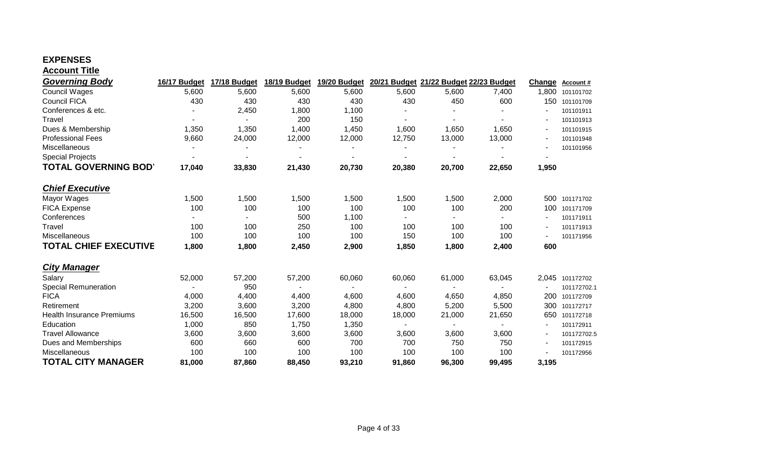### **EXPENSES Account Title**

| <b>Governing Body</b>            | 16/17 Budget   | 17/18 Budget             | 18/19 Budget | 19/20 Budget             |        | 20/21 Budget 21/22 Budget 22/23 Budget |        | Change | Account#        |
|----------------------------------|----------------|--------------------------|--------------|--------------------------|--------|----------------------------------------|--------|--------|-----------------|
| <b>Council Wages</b>             | 5,600          | 5,600                    | 5,600        | 5,600                    | 5,600  | 5,600                                  | 7,400  | 1,800  | 101101702       |
| <b>Council FICA</b>              | 430            | 430                      | 430          | 430                      | 430    | 450                                    | 600    | 150    | 101101709       |
| Conferences & etc.               |                | 2,450                    | 1,800        | 1,100                    |        |                                        |        |        | 101101911       |
| Travel                           |                |                          | 200          | 150                      |        | $\overline{\phantom{a}}$               |        |        | 101101913       |
| Dues & Membership                | 1,350          | 1,350                    | 1,400        | 1,450                    | 1,600  | 1,650                                  | 1,650  |        | 101101915       |
| <b>Professional Fees</b>         | 9,660          | 24,000                   | 12,000       | 12,000                   | 12,750 | 13,000                                 | 13,000 |        | 101101948       |
| Miscellaneous                    | $\blacksquare$ |                          |              |                          |        | $\blacksquare$                         |        |        | 101101956       |
| <b>Special Projects</b>          |                |                          |              |                          |        |                                        |        |        |                 |
| <b>TOTAL GOVERNING BOD'</b>      | 17,040         | 33,830                   | 21,430       | 20,730                   | 20,380 | 20,700                                 | 22,650 | 1,950  |                 |
| <b>Chief Executive</b>           |                |                          |              |                          |        |                                        |        |        |                 |
| Mayor Wages                      | 1,500          | 1,500                    | 1,500        | 1,500                    | 1,500  | 1,500                                  | 2,000  |        | 500 101171702   |
| <b>FICA Expense</b>              | 100            | 100                      | 100          | 100                      | 100    | 100                                    | 200    | 100    | 101171709       |
| Conferences                      |                | $\overline{\phantom{0}}$ | 500          | 1,100                    |        | $\overline{\phantom{0}}$               |        |        | 101171911       |
| Travel                           | 100            | 100                      | 250          | 100                      | 100    | 100                                    | 100    |        | 101171913       |
| Miscellaneous                    | 100            | 100                      | 100          | 100                      | 150    | 100                                    | 100    |        | 101171956       |
| <b>TOTAL CHIEF EXECUTIVE</b>     | 1,800          | 1,800                    | 2,450        | 2,900                    | 1,850  | 1,800                                  | 2,400  | 600    |                 |
| <b>City Manager</b>              |                |                          |              |                          |        |                                        |        |        |                 |
| Salary                           | 52,000         | 57,200                   | 57,200       | 60,060                   | 60,060 | 61,000                                 | 63,045 |        | 2,045 101172702 |
| <b>Special Remuneration</b>      |                | 950                      |              | $\overline{\phantom{a}}$ |        | $\sim$                                 | $\sim$ |        | 101172702.1     |
| <b>FICA</b>                      | 4,000          | 4,400                    | 4,400        | 4,600                    | 4,600  | 4,650                                  | 4,850  | 200    | 101172709       |
| Retirement                       | 3,200          | 3,600                    | 3,200        | 4,800                    | 4,800  | 5,200                                  | 5,500  | 300    | 101172717       |
| <b>Health Insurance Premiums</b> | 16,500         | 16,500                   | 17,600       | 18,000                   | 18,000 | 21,000                                 | 21,650 | 650    | 101172718       |
| Education                        | 1,000          | 850                      | 1,750        | 1,350                    | $\sim$ | $\sim$                                 | $\sim$ |        | 101172911       |
| <b>Travel Allowance</b>          | 3,600          | 3,600                    | 3,600        | 3,600                    | 3,600  | 3,600                                  | 3,600  |        | 101172702.5     |
| Dues and Memberships             | 600            | 660                      | 600          | 700                      | 700    | 750                                    | 750    |        | 101172915       |
| Miscellaneous                    | 100            | 100                      | 100          | 100                      | 100    | 100                                    | 100    |        | 101172956       |
| <b>TOTAL CITY MANAGER</b>        | 81,000         | 87,860                   | 88,450       | 93,210                   | 91,860 | 96,300                                 | 99,495 | 3,195  |                 |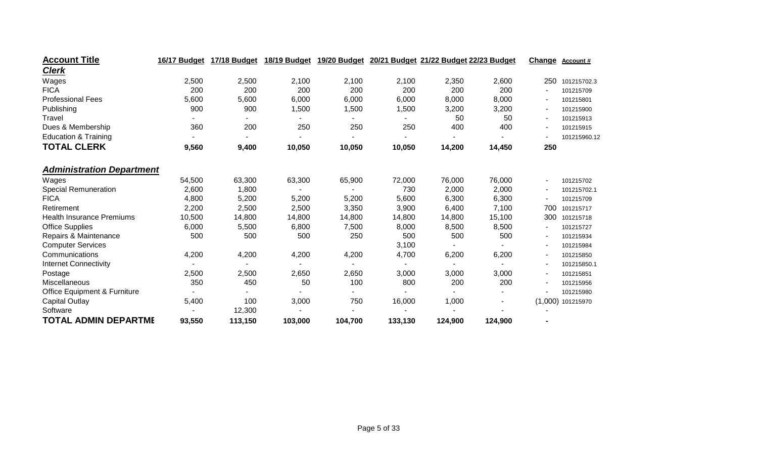| <b>Account Title</b>                    | 16/17 Budget | 17/18 Budget | 18/19 Budget | 19/20 Budget |         | 20/21 Budget 21/22 Budget 22/23 Budget |         | Change                   | Account#            |
|-----------------------------------------|--------------|--------------|--------------|--------------|---------|----------------------------------------|---------|--------------------------|---------------------|
| <b>Clerk</b>                            |              |              |              |              |         |                                        |         |                          |                     |
| Wages                                   | 2,500        | 2,500        | 2,100        | 2,100        | 2,100   | 2,350                                  | 2,600   | 250                      | 101215702.3         |
| <b>FICA</b>                             | 200          | 200          | 200          | 200          | 200     | 200                                    | 200     |                          | 101215709           |
| <b>Professional Fees</b>                | 5,600        | 5,600        | 6,000        | 6,000        | 6,000   | 8,000                                  | 8,000   | $\overline{\phantom{a}}$ | 101215801           |
| Publishing                              | 900          | 900          | 1,500        | 1,500        | 1,500   | 3,200                                  | 3,200   |                          | 101215900           |
| Travel                                  |              |              |              |              |         | 50                                     | 50      |                          | 101215913           |
| Dues & Membership                       | 360          | 200          | 250          | 250          | 250     | 400                                    | 400     | ٠                        | 101215915           |
| <b>Education &amp; Training</b>         |              |              |              |              |         | $\blacksquare$                         |         |                          | 101215960.12        |
| <b>TOTAL CLERK</b>                      | 9,560        | 9,400        | 10,050       | 10,050       | 10,050  | 14,200                                 | 14,450  | 250                      |                     |
| <b>Administration Department</b>        |              |              |              |              |         |                                        |         |                          |                     |
| Wages                                   | 54,500       | 63,300       | 63,300       | 65,900       | 72,000  | 76,000                                 | 76,000  | $\overline{\phantom{a}}$ | 101215702           |
| <b>Special Remuneration</b>             | 2,600        | 1,800        |              |              | 730     | 2,000                                  | 2,000   |                          | 101215702.1         |
| <b>FICA</b>                             | 4,800        | 5,200        | 5,200        | 5,200        | 5,600   | 6,300                                  | 6,300   |                          | 101215709           |
| Retirement                              | 2,200        | 2,500        | 2,500        | 3,350        | 3,900   | 6,400                                  | 7,100   | 700                      | 101215717           |
| <b>Health Insurance Premiums</b>        | 10,500       | 14,800       | 14,800       | 14,800       | 14,800  | 14,800                                 | 15,100  | 300                      | 101215718           |
| <b>Office Supplies</b>                  | 6,000        | 5,500        | 6,800        | 7,500        | 8,000   | 8,500                                  | 8,500   |                          | 101215727           |
| Repairs & Maintenance                   | 500          | 500          | 500          | 250          | 500     | 500                                    | 500     |                          | 101215934           |
| <b>Computer Services</b>                |              |              |              |              | 3,100   |                                        |         |                          | 101215984           |
| Communications                          | 4,200        | 4,200        | 4,200        | 4,200        | 4,700   | 6,200                                  | 6,200   | ٠                        | 101215850           |
| <b>Internet Connectivity</b>            |              |              |              |              |         | $\blacksquare$                         |         |                          | 101215850.1         |
| Postage                                 | 2,500        | 2,500        | 2,650        | 2,650        | 3,000   | 3,000                                  | 3,000   | $\overline{\phantom{a}}$ | 101215851           |
| Miscellaneous                           | 350          | 450          | 50           | 100          | 800     | 200                                    | 200     |                          | 101215956           |
| <b>Office Equipment &amp; Furniture</b> |              |              |              |              |         |                                        |         |                          | 101215980           |
| <b>Capital Outlay</b>                   | 5,400        | 100          | 3,000        | 750          | 16,000  | 1,000                                  |         |                          | $(1,000)$ 101215970 |
| Software                                |              | 12,300       |              |              |         |                                        |         |                          |                     |
| <b>TOTAL ADMIN DEPARTME</b>             | 93,550       | 113,150      | 103,000      | 104,700      | 133,130 | 124,900                                | 124,900 |                          |                     |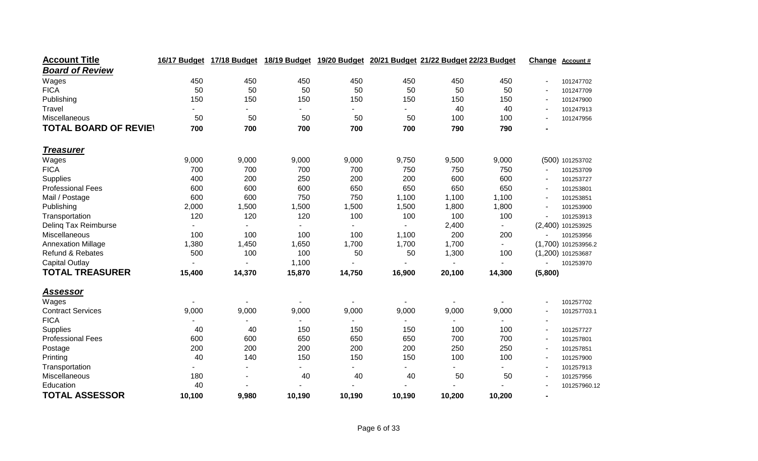| <b>Account Title</b>         | 16/17 Budget | 17/18 Budget |        | 18/19 Budget 19/20 Budget 20/21 Budget 21/22 Budget 22/23 Budget |        |        |        | Change                   | <b>Account #</b>    |
|------------------------------|--------------|--------------|--------|------------------------------------------------------------------|--------|--------|--------|--------------------------|---------------------|
| <b>Board of Review</b>       |              |              |        |                                                                  |        |        |        |                          |                     |
| Wages                        | 450          | 450          | 450    | 450                                                              | 450    | 450    | 450    |                          | 101247702           |
| <b>FICA</b>                  | 50           | 50           | 50     | 50                                                               | 50     | 50     | 50     | $\overline{\phantom{a}}$ | 101247709           |
| Publishing                   | 150          | 150          | 150    | 150                                                              | 150    | 150    | 150    |                          | 101247900           |
| Travel                       |              |              |        |                                                                  |        | 40     | 40     |                          | 101247913           |
| Miscellaneous                | 50           | 50           | 50     | 50                                                               | 50     | 100    | 100    |                          | 101247956           |
| <b>TOTAL BOARD OF REVIEY</b> | 700          | 700          | 700    | 700                                                              | 700    | 790    | 790    |                          |                     |
| <u>Treasurer</u>             |              |              |        |                                                                  |        |        |        |                          |                     |
| Wages                        | 9,000        | 9,000        | 9,000  | 9,000                                                            | 9,750  | 9,500  | 9,000  |                          | (500) 101253702     |
| <b>FICA</b>                  | 700          | 700          | 700    | 700                                                              | 750    | 750    | 750    |                          | 101253709           |
| Supplies                     | 400          | 200          | 250    | 200                                                              | 200    | 600    | 600    |                          | 101253727           |
| <b>Professional Fees</b>     | 600          | 600          | 600    | 650                                                              | 650    | 650    | 650    |                          | 101253801           |
| Mail / Postage               | 600          | 600          | 750    | 750                                                              | 1,100  | 1,100  | 1,100  |                          | 101253851           |
| Publishing                   | 2,000        | 1,500        | 1,500  | 1,500                                                            | 1,500  | 1,800  | 1,800  |                          | 101253900           |
| Transportation               | 120          | 120          | 120    | 100                                                              | 100    | 100    | 100    |                          | 101253913           |
| Deling Tax Reimburse         |              |              |        |                                                                  |        | 2,400  |        |                          | (2,400) 101253925   |
| Miscellaneous                | 100          | 100          | 100    | 100                                                              | 1,100  | 200    | 200    |                          | 101253956           |
| <b>Annexation Millage</b>    | 1,380        | 1,450        | 1,650  | 1,700                                                            | 1,700  | 1,700  |        |                          | (1,700) 101253956.2 |
| Refund & Rebates             | 500          | 100          | 100    | 50                                                               | 50     | 1,300  | 100    |                          | (1,200) 101253687   |
| <b>Capital Outlay</b>        |              |              | 1,100  |                                                                  |        |        |        |                          | 101253970           |
| <b>TOTAL TREASURER</b>       | 15,400       | 14,370       | 15,870 | 14,750                                                           | 16,900 | 20,100 | 14,300 | (5,800)                  |                     |
| <u>Assessor</u>              |              |              |        |                                                                  |        |        |        |                          |                     |
| Wages                        |              |              |        |                                                                  |        |        |        |                          | 101257702           |
| <b>Contract Services</b>     | 9,000        | 9,000        | 9,000  | 9,000                                                            | 9,000  | 9,000  | 9,000  |                          | 101257703.1         |
| <b>FICA</b>                  |              |              |        |                                                                  |        |        |        |                          |                     |
| Supplies                     | 40           | 40           | 150    | 150                                                              | 150    | 100    | 100    |                          | 101257727           |
| <b>Professional Fees</b>     | 600          | 600          | 650    | 650                                                              | 650    | 700    | 700    |                          | 101257801           |
| Postage                      | 200          | 200          | 200    | 200                                                              | 200    | 250    | 250    |                          | 101257851           |
| Printing                     | 40           | 140          | 150    | 150                                                              | 150    | 100    | 100    |                          | 101257900           |
| Transportation               |              |              |        |                                                                  |        |        |        |                          | 101257913           |
| Miscellaneous                | 180          |              | 40     | 40                                                               | 40     | 50     | 50     |                          | 101257956           |
| Education                    | 40           |              |        |                                                                  |        |        |        |                          | 101257960.12        |
| <b>TOTAL ASSESSOR</b>        | 10,100       | 9,980        | 10,190 | 10,190                                                           | 10,190 | 10,200 | 10,200 | $\blacksquare$           |                     |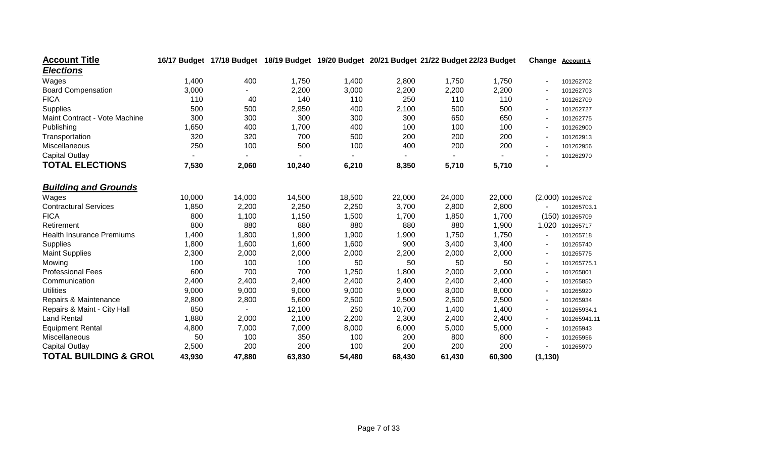| <b>Account Title</b>             | 16/17 Budget | 17/18 Budget |        | 18/19 Budget 19/20 Budget |        | 20/21 Budget 21/22 Budget 22/23 Budget |        | Change   | Account#          |
|----------------------------------|--------------|--------------|--------|---------------------------|--------|----------------------------------------|--------|----------|-------------------|
| <b>Elections</b>                 |              |              |        |                           |        |                                        |        |          |                   |
| Wages                            | 1,400        | 400          | 1,750  | 1,400                     | 2,800  | 1,750                                  | 1,750  |          | 101262702         |
| <b>Board Compensation</b>        | 3,000        |              | 2,200  | 3,000                     | 2,200  | 2,200                                  | 2,200  |          | 101262703         |
| <b>FICA</b>                      | 110          | 40           | 140    | 110                       | 250    | 110                                    | 110    |          | 101262709         |
| Supplies                         | 500          | 500          | 2,950  | 400                       | 2,100  | 500                                    | 500    |          | 101262727         |
| Maint Contract - Vote Machine    | 300          | 300          | 300    | 300                       | 300    | 650                                    | 650    |          | 101262775         |
| Publishing                       | 1,650        | 400          | 1,700  | 400                       | 100    | 100                                    | 100    |          | 101262900         |
| Transportation                   | 320          | 320          | 700    | 500                       | 200    | 200                                    | 200    |          | 101262913         |
| Miscellaneous                    | 250          | 100          | 500    | 100                       | 400    | 200                                    | 200    |          | 101262956         |
| <b>Capital Outlay</b>            |              |              |        |                           |        |                                        |        |          | 101262970         |
| <b>TOTAL ELECTIONS</b>           | 7,530        | 2,060        | 10,240 | 6,210                     | 8,350  | 5,710                                  | 5,710  |          |                   |
| <b>Building and Grounds</b>      |              |              |        |                           |        |                                        |        |          |                   |
| Wages                            | 10,000       | 14,000       | 14,500 | 18,500                    | 22,000 | 24,000                                 | 22,000 |          | (2,000) 101265702 |
| <b>Contractural Services</b>     | 1,850        | 2,200        | 2,250  | 2,250                     | 3,700  | 2,800                                  | 2,800  |          | 101265703.1       |
| <b>FICA</b>                      | 800          | 1,100        | 1,150  | 1,500                     | 1,700  | 1,850                                  | 1,700  |          | (150) 101265709   |
| Retirement                       | 800          | 880          | 880    | 880                       | 880    | 880                                    | 1,900  | 1,020    | 101265717         |
| <b>Health Insurance Premiums</b> | 1,400        | 1,800        | 1,900  | 1,900                     | 1,900  | 1,750                                  | 1,750  |          | 101265718         |
| Supplies                         | 1,800        | 1,600        | 1,600  | 1,600                     | 900    | 3,400                                  | 3,400  |          | 101265740         |
| <b>Maint Supplies</b>            | 2,300        | 2,000        | 2,000  | 2,000                     | 2,200  | 2,000                                  | 2,000  |          | 101265775         |
| Mowing                           | 100          | 100          | 100    | 50                        | 50     | 50                                     | 50     |          | 101265775.1       |
| <b>Professional Fees</b>         | 600          | 700          | 700    | 1,250                     | 1,800  | 2,000                                  | 2,000  |          | 101265801         |
| Communication                    | 2,400        | 2,400        | 2,400  | 2,400                     | 2,400  | 2,400                                  | 2,400  |          | 101265850         |
| <b>Utilities</b>                 | 9,000        | 9,000        | 9,000  | 9,000                     | 9,000  | 8,000                                  | 8,000  |          | 101265920         |
| Repairs & Maintenance            | 2,800        | 2,800        | 5,600  | 2,500                     | 2,500  | 2,500                                  | 2,500  |          | 101265934         |
| Repairs & Maint - City Hall      | 850          |              | 12,100 | 250                       | 10,700 | 1,400                                  | 1,400  |          | 101265934.1       |
| <b>Land Rental</b>               | 1,880        | 2,000        | 2,100  | 2,200                     | 2,300  | 2,400                                  | 2,400  |          | 101265941.11      |
| <b>Equipment Rental</b>          | 4,800        | 7,000        | 7,000  | 8,000                     | 6,000  | 5,000                                  | 5,000  |          | 101265943         |
| Miscellaneous                    | 50           | 100          | 350    | 100                       | 200    | 800                                    | 800    |          | 101265956         |
| <b>Capital Outlay</b>            | 2,500        | 200          | 200    | 100                       | 200    | 200                                    | 200    |          | 101265970         |
| <b>TOTAL BUILDING &amp; GROL</b> | 43,930       | 47,880       | 63,830 | 54,480                    | 68,430 | 61,430                                 | 60,300 | (1, 130) |                   |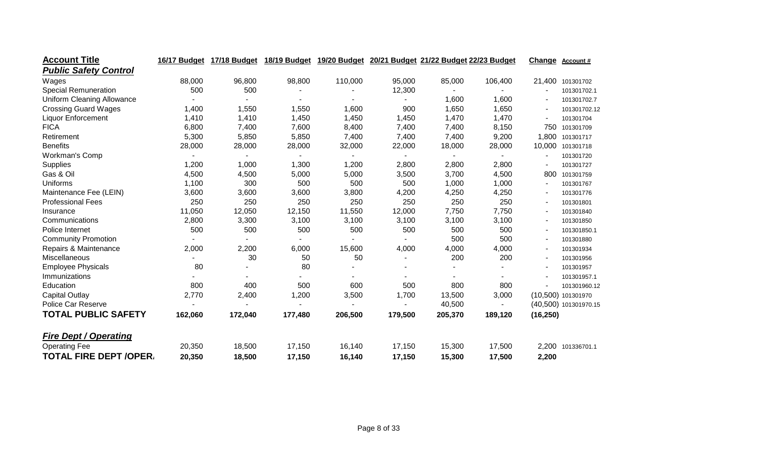| <b>Account Title</b>              | 16/17 Budget | 17/18 Budget |         |                |         | 18/19 Budget 19/20 Budget 20/21 Budget 21/22 Budget 22/23 Budget |                | Change         | <b>Account #</b>      |
|-----------------------------------|--------------|--------------|---------|----------------|---------|------------------------------------------------------------------|----------------|----------------|-----------------------|
| <b>Public Safety Control</b>      |              |              |         |                |         |                                                                  |                |                |                       |
| Wages                             | 88,000       | 96,800       | 98,800  | 110,000        | 95,000  | 85,000                                                           | 106,400        | 21,400         | 101301702             |
| <b>Special Remuneration</b>       | 500          | 500          |         |                | 12,300  | $\blacksquare$                                                   |                |                | 101301702.1           |
| <b>Uniform Cleaning Allowance</b> |              |              |         |                |         | 1,600                                                            | 1,600          |                | 101301702.7           |
| <b>Crossing Guard Wages</b>       | 1,400        | 1,550        | 1,550   | 1,600          | 900     | 1,650                                                            | 1,650          |                | 101301702.12          |
| <b>Liquor Enforcement</b>         | 1,410        | 1,410        | 1,450   | 1,450          | 1,450   | 1,470                                                            | 1,470          |                | 101301704             |
| <b>FICA</b>                       | 6,800        | 7,400        | 7,600   | 8,400          | 7,400   | 7,400                                                            | 8,150          | 750            | 101301709             |
| Retirement                        | 5,300        | 5,850        | 5,850   | 7,400          | 7,400   | 7,400                                                            | 9,200          | 1,800          | 101301717             |
| <b>Benefits</b>                   | 28,000       | 28,000       | 28,000  | 32,000         | 22,000  | 18,000                                                           | 28,000         | 10,000         | 101301718             |
| Workman's Comp                    |              | ٠            |         | $\blacksquare$ | ۰.      | $\blacksquare$                                                   | $\blacksquare$ |                | 101301720             |
| <b>Supplies</b>                   | 1,200        | 1,000        | 1,300   | 1,200          | 2,800   | 2,800                                                            | 2,800          |                | 101301727             |
| Gas & Oil                         | 4,500        | 4,500        | 5,000   | 5,000          | 3,500   | 3,700                                                            | 4,500          | 800            | 101301759             |
| Uniforms                          | 1,100        | 300          | 500     | 500            | 500     | 1,000                                                            | 1,000          | $\blacksquare$ | 101301767             |
| Maintenance Fee (LEIN)            | 3,600        | 3,600        | 3,600   | 3,800          | 4,200   | 4,250                                                            | 4,250          |                | 101301776             |
| <b>Professional Fees</b>          | 250          | 250          | 250     | 250            | 250     | 250                                                              | 250            |                | 101301801             |
| Insurance                         | 11,050       | 12,050       | 12,150  | 11,550         | 12,000  | 7,750                                                            | 7,750          |                | 101301840             |
| Communications                    | 2,800        | 3,300        | 3,100   | 3,100          | 3,100   | 3,100                                                            | 3,100          |                | 101301850             |
| Police Internet                   | 500          | 500          | 500     | 500            | 500     | 500                                                              | 500            |                | 101301850.1           |
| <b>Community Promotion</b>        |              |              |         |                |         | 500                                                              | 500            |                | 101301880             |
| Repairs & Maintenance             | 2,000        | 2,200        | 6,000   | 15,600         | 4,000   | 4,000                                                            | 4,000          |                | 101301934             |
| Miscellaneous                     |              | 30           | 50      | 50             |         | 200                                                              | 200            |                | 101301956             |
| <b>Employee Physicals</b>         | 80           |              | 80      |                |         |                                                                  |                |                | 101301957             |
| Immunizations                     |              |              |         |                |         |                                                                  |                |                | 101301957.1           |
| Education                         | 800          | 400          | 500     | 600            | 500     | 800                                                              | 800            |                | 101301960.12          |
| <b>Capital Outlay</b>             | 2,770        | 2,400        | 1,200   | 3,500          | 1,700   | 13,500                                                           | 3,000          |                | (10,500) 101301970    |
| Police Car Reserve                |              |              |         |                |         | 40,500                                                           |                |                | (40,500) 101301970.15 |
| <b>TOTAL PUBLIC SAFETY</b>        | 162,060      | 172,040      | 177,480 | 206,500        | 179,500 | 205,370                                                          | 189,120        | (16, 250)      |                       |
| <b>Fire Dept / Operating</b>      |              |              |         |                |         |                                                                  |                |                |                       |
| <b>Operating Fee</b>              | 20,350       | 18,500       | 17,150  | 16,140         | 17,150  | 15,300                                                           | 17,500         |                | 2,200 101336701.1     |
| <b>TOTAL FIRE DEPT /OPER/</b>     | 20,350       | 18,500       | 17,150  | 16,140         | 17,150  | 15,300                                                           | 17,500         | 2,200          |                       |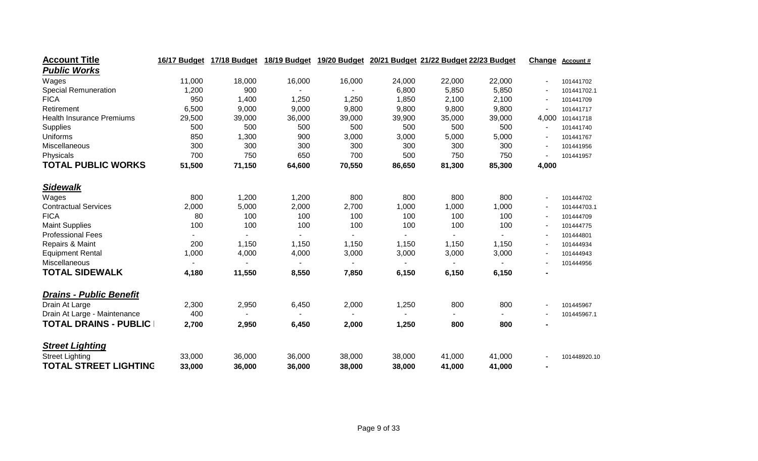| <b>Account Title</b>             | 16/17 Budget | 17/18 Budget   | 18/19 Budget |                |        | 19/20 Budget 20/21 Budget 21/22 Budget 22/23 Budget |        | Change                   | <b>Account #</b> |
|----------------------------------|--------------|----------------|--------------|----------------|--------|-----------------------------------------------------|--------|--------------------------|------------------|
| <b>Public Works</b>              |              |                |              |                |        |                                                     |        |                          |                  |
| Wages                            | 11,000       | 18,000         | 16,000       | 16,000         | 24,000 | 22,000                                              | 22,000 |                          | 101441702        |
| <b>Special Remuneration</b>      | 1,200        | 900            |              |                | 6,800  | 5,850                                               | 5,850  | $\blacksquare$           | 101441702.1      |
| <b>FICA</b>                      | 950          | 1,400          | 1,250        | 1,250          | 1,850  | 2,100                                               | 2,100  |                          | 101441709        |
| Retirement                       | 6,500        | 9,000          | 9,000        | 9,800          | 9,800  | 9,800                                               | 9,800  |                          | 101441717        |
| <b>Health Insurance Premiums</b> | 29,500       | 39,000         | 36,000       | 39,000         | 39,900 | 35,000                                              | 39,000 | 4,000                    | 101441718        |
| Supplies                         | 500          | 500            | 500          | 500            | 500    | 500                                                 | 500    |                          | 101441740        |
| Uniforms                         | 850          | 1,300          | 900          | 3,000          | 3,000  | 5,000                                               | 5,000  |                          | 101441767        |
| Miscellaneous                    | 300          | 300            | 300          | 300            | 300    | 300                                                 | 300    |                          | 101441956        |
| Physicals                        | 700          | 750            | 650          | 700            | 500    | 750                                                 | 750    |                          | 101441957        |
| <b>TOTAL PUBLIC WORKS</b>        | 51,500       | 71,150         | 64,600       | 70,550         | 86,650 | 81,300                                              | 85,300 | 4,000                    |                  |
| <b>Sidewalk</b>                  |              |                |              |                |        |                                                     |        |                          |                  |
| Wages                            | 800          | 1,200          | 1,200        | 800            | 800    | 800                                                 | 800    | $\overline{\phantom{a}}$ | 101444702        |
| <b>Contractual Services</b>      | 2,000        | 5,000          | 2,000        | 2,700          | 1,000  | 1,000                                               | 1,000  |                          | 101444703.1      |
| <b>FICA</b>                      | 80           | 100            | 100          | 100            | 100    | 100                                                 | 100    |                          | 101444709        |
| <b>Maint Supplies</b>            | 100          | 100            | 100          | 100            | 100    | 100                                                 | 100    |                          | 101444775        |
| <b>Professional Fees</b>         |              | $\blacksquare$ | ٠            | $\blacksquare$ | ۰.     | $\blacksquare$                                      |        |                          | 101444801        |
| Repairs & Maint                  | 200          | 1,150          | 1,150        | 1,150          | 1,150  | 1,150                                               | 1,150  |                          | 101444934        |
| <b>Equipment Rental</b>          | 1,000        | 4,000          | 4,000        | 3,000          | 3,000  | 3,000                                               | 3,000  |                          | 101444943        |
| Miscellaneous                    |              |                |              |                |        |                                                     |        |                          | 101444956        |
| <b>TOTAL SIDEWALK</b>            | 4,180        | 11,550         | 8,550        | 7,850          | 6,150  | 6,150                                               | 6,150  | $\blacksquare$           |                  |
| <b>Drains - Public Benefit</b>   |              |                |              |                |        |                                                     |        |                          |                  |
| Drain At Large                   | 2,300        | 2,950          | 6,450        | 2,000          | 1,250  | 800                                                 | 800    |                          | 101445967        |
| Drain At Large - Maintenance     | 400          |                |              |                |        |                                                     |        |                          | 101445967.1      |
| <b>TOTAL DRAINS - PUBLIC</b>     | 2,700        | 2,950          | 6,450        | 2,000          | 1,250  | 800                                                 | 800    |                          |                  |
| <b>Street Lighting</b>           |              |                |              |                |        |                                                     |        |                          |                  |
| <b>Street Lighting</b>           | 33,000       | 36,000         | 36,000       | 38,000         | 38,000 | 41,000                                              | 41,000 |                          | 101448920.10     |
| <b>TOTAL STREET LIGHTING</b>     | 33,000       | 36,000         | 36,000       | 38,000         | 38,000 | 41,000                                              | 41,000 | $\blacksquare$           |                  |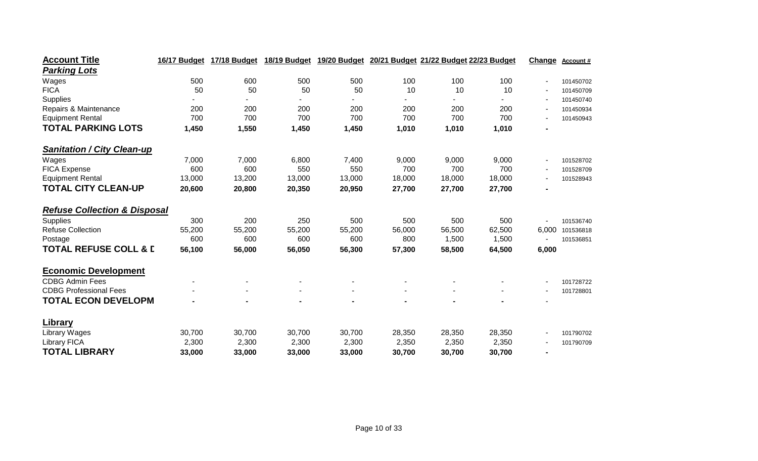| <b>Account Title</b>                    | 16/17 Budget | 17/18 Budget | 18/19 Budget | 19/20 Budget | 20/21 Budget 21/22 Budget 22/23 Budget |        |        | Change         | <b>Account #</b> |
|-----------------------------------------|--------------|--------------|--------------|--------------|----------------------------------------|--------|--------|----------------|------------------|
| <b>Parking Lots</b>                     |              |              |              |              |                                        |        |        |                |                  |
| Wages                                   | 500          | 600          | 500          | 500          | 100                                    | 100    | 100    |                | 101450702        |
| <b>FICA</b>                             | 50           | 50           | 50           | 50           | 10                                     | 10     | 10     |                | 101450709        |
| Supplies                                |              |              |              |              |                                        |        |        |                | 101450740        |
| Repairs & Maintenance                   | 200          | 200          | 200          | 200          | 200                                    | 200    | 200    |                | 101450934        |
| <b>Equipment Rental</b>                 | 700          | 700          | 700          | 700          | 700                                    | 700    | 700    |                | 101450943        |
| <b>TOTAL PARKING LOTS</b>               | 1,450        | 1,550        | 1,450        | 1,450        | 1,010                                  | 1,010  | 1,010  | $\blacksquare$ |                  |
| <b>Sanitation / City Clean-up</b>       |              |              |              |              |                                        |        |        |                |                  |
| Wages                                   | 7,000        | 7,000        | 6,800        | 7,400        | 9,000                                  | 9,000  | 9,000  |                | 101528702        |
| <b>FICA Expense</b>                     | 600          | 600          | 550          | 550          | 700                                    | 700    | 700    |                | 101528709        |
| <b>Equipment Rental</b>                 | 13,000       | 13,200       | 13,000       | 13,000       | 18,000                                 | 18,000 | 18,000 |                | 101528943        |
| <b>TOTAL CITY CLEAN-UP</b>              | 20,600       | 20,800       | 20,350       | 20,950       | 27,700                                 | 27,700 | 27,700 | $\blacksquare$ |                  |
| <b>Refuse Collection &amp; Disposal</b> |              |              |              |              |                                        |        |        |                |                  |
| Supplies                                | 300          | 200          | 250          | 500          | 500                                    | 500    | 500    |                | 101536740        |
| <b>Refuse Collection</b>                | 55,200       | 55,200       | 55,200       | 55,200       | 56,000                                 | 56,500 | 62,500 | 6,000          | 101536818        |
| Postage                                 | 600          | 600          | 600          | 600          | 800                                    | 1,500  | 1,500  |                | 101536851        |
| <b>TOTAL REFUSE COLL &amp; D</b>        | 56,100       | 56,000       | 56,050       | 56,300       | 57,300                                 | 58,500 | 64,500 | 6,000          |                  |
| <b>Economic Development</b>             |              |              |              |              |                                        |        |        |                |                  |
| <b>CDBG Admin Fees</b>                  |              |              |              |              |                                        |        |        |                | 101728722        |
| <b>CDBG Professional Fees</b>           |              |              |              |              |                                        |        |        |                | 101728801        |
| <b>TOTAL ECON DEVELOPM</b>              |              |              |              |              |                                        |        |        |                |                  |
| Library                                 |              |              |              |              |                                        |        |        |                |                  |
| Library Wages                           | 30,700       | 30,700       | 30,700       | 30,700       | 28,350                                 | 28,350 | 28,350 |                | 101790702        |
| <b>Library FICA</b>                     | 2,300        | 2,300        | 2,300        | 2,300        | 2,350                                  | 2,350  | 2,350  |                | 101790709        |
| <b>TOTAL LIBRARY</b>                    | 33,000       | 33,000       | 33,000       | 33,000       | 30,700                                 | 30,700 | 30,700 | $\blacksquare$ |                  |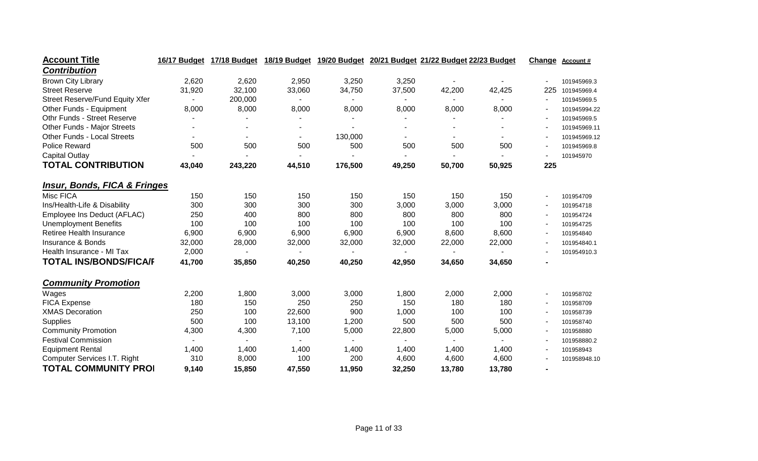| <b>Account Title</b>                    | 16/17 Budget | 17/18 Budget |        |         |                | 18/19 Budget 19/20 Budget 20/21 Budget 21/22 Budget 22/23 Budget |                | Change                   | <b>Account #</b> |
|-----------------------------------------|--------------|--------------|--------|---------|----------------|------------------------------------------------------------------|----------------|--------------------------|------------------|
| <b>Contribution</b>                     |              |              |        |         |                |                                                                  |                |                          |                  |
| <b>Brown City Library</b>               | 2,620        | 2,620        | 2,950  | 3,250   | 3,250          | $\blacksquare$                                                   |                |                          | 101945969.3      |
| <b>Street Reserve</b>                   | 31,920       | 32,100       | 33,060 | 34,750  | 37,500         | 42,200                                                           | 42,425         | 225                      | 101945969.4      |
| <b>Street Reserve/Fund Equity Xfer</b>  |              | 200,000      |        |         | $\blacksquare$ | $\sim$                                                           | $\blacksquare$ | $\sim$                   | 101945969.5      |
| Other Funds - Equipment                 | 8,000        | 8,000        | 8,000  | 8,000   | 8,000          | 8,000                                                            | 8,000          |                          | 101945994.22     |
| Othr Funds - Street Reserve             |              |              |        |         |                |                                                                  |                |                          | 101945969.5      |
| Other Funds - Major Streets             |              |              |        |         |                |                                                                  |                |                          | 101945969.11     |
| <b>Other Funds - Local Streets</b>      |              |              |        | 130,000 |                |                                                                  |                |                          | 101945969.12     |
| <b>Police Reward</b>                    | 500          | 500          | 500    | 500     | 500            | 500                                                              | 500            | $\overline{\phantom{a}}$ | 101945969.8      |
| <b>Capital Outlay</b>                   |              |              |        |         |                |                                                                  |                |                          | 101945970        |
| <b>TOTAL CONTRIBUTION</b>               | 43,040       | 243,220      | 44,510 | 176,500 | 49,250         | 50,700                                                           | 50,925         | 225                      |                  |
| <b>Insur, Bonds, FICA &amp; Fringes</b> |              |              |        |         |                |                                                                  |                |                          |                  |
| Misc FICA                               | 150          | 150          | 150    | 150     | 150            | 150                                                              | 150            | $\overline{\phantom{a}}$ | 101954709        |
| Ins/Health-Life & Disability            | 300          | 300          | 300    | 300     | 3,000          | 3,000                                                            | 3,000          |                          | 101954718        |
| Employee Ins Deduct (AFLAC)             | 250          | 400          | 800    | 800     | 800            | 800                                                              | 800            | $\overline{\phantom{a}}$ | 101954724        |
| <b>Unemployment Benefits</b>            | 100          | 100          | 100    | 100     | 100            | 100                                                              | 100            |                          | 101954725        |
| Retiree Health Insurance                | 6,900        | 6,900        | 6,900  | 6,900   | 6,900          | 8,600                                                            | 8,600          |                          | 101954840        |
| Insurance & Bonds                       | 32,000       | 28,000       | 32,000 | 32,000  | 32,000         | 22,000                                                           | 22,000         |                          | 101954840.1      |
| Health Insurance - MI Tax               | 2,000        |              |        |         |                |                                                                  |                | ٠                        | 101954910.3      |
| <b>TOTAL INS/BONDS/FICA/F</b>           | 41,700       | 35,850       | 40,250 | 40,250  | 42,950         | 34,650                                                           | 34,650         |                          |                  |
| <b>Community Promotion</b>              |              |              |        |         |                |                                                                  |                |                          |                  |
| Wages                                   | 2,200        | 1,800        | 3,000  | 3,000   | 1,800          | 2,000                                                            | 2,000          |                          | 101958702        |
| <b>FICA Expense</b>                     | 180          | 150          | 250    | 250     | 150            | 180                                                              | 180            | $\overline{a}$           | 101958709        |
| <b>XMAS Decoration</b>                  | 250          | 100          | 22,600 | 900     | 1,000          | 100                                                              | 100            | $\overline{\phantom{a}}$ | 101958739        |
| Supplies                                | 500          | 100          | 13,100 | 1,200   | 500            | 500                                                              | 500            |                          | 101958740        |
| <b>Community Promotion</b>              | 4,300        | 4,300        | 7,100  | 5,000   | 22,800         | 5,000                                                            | 5,000          |                          | 101958880        |
| <b>Festival Commission</b>              |              |              |        |         |                |                                                                  |                |                          | 101958880.2      |
| <b>Equipment Rental</b>                 | 1,400        | 1,400        | 1,400  | 1,400   | 1,400          | 1,400                                                            | 1,400          |                          | 101958943        |
| Computer Services I.T. Right            | 310          | 8,000        | 100    | 200     | 4,600          | 4,600                                                            | 4,600          |                          | 101958948.10     |
| <b>TOTAL COMMUNITY PROI</b>             | 9,140        | 15,850       | 47,550 | 11,950  | 32,250         | 13,780                                                           | 13,780         |                          |                  |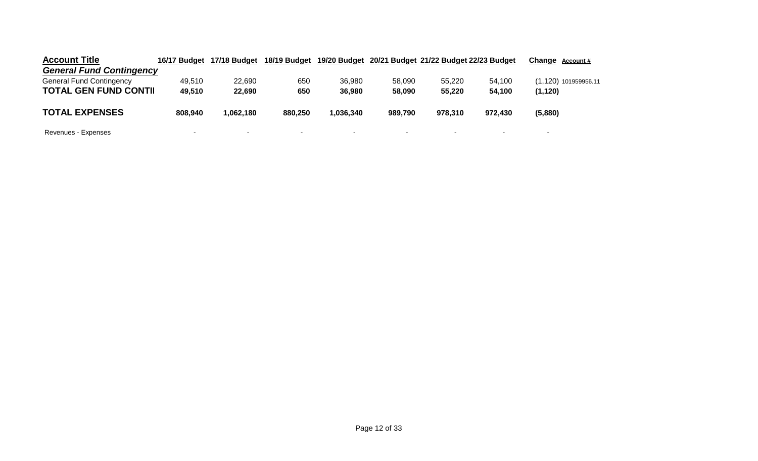| <b>Account Title</b>            | 16/17 Budget             | 17/18 Budget | 18/19 Budget | 19/20 Budget             |                          | 20/21 Budget 21/22 Budget 22/23 Budget |                          | Change Account #     |
|---------------------------------|--------------------------|--------------|--------------|--------------------------|--------------------------|----------------------------------------|--------------------------|----------------------|
| <b>General Fund Contingency</b> |                          |              |              |                          |                          |                                        |                          |                      |
| <b>General Fund Contingency</b> | 49.510                   | 22,690       | 650          | 36,980                   | 58,090                   | 55.220                                 | 54.100                   | (1,120) 101959956.11 |
| <b>TOTAL GEN FUND CONTII</b>    | 49,510                   | 22,690       | 650          | 36,980                   | 58,090                   | 55,220                                 | 54.100                   | (1, 120)             |
| <b>TOTAL EXPENSES</b>           | 808.940                  | .062.180     | 880.250      | .036.340                 | 989,790                  | 978.310                                | 972.430                  | (5,880)              |
| Revenues - Expenses             | $\overline{\phantom{0}}$ | ۰            | ۰            | $\overline{\phantom{0}}$ | $\overline{\phantom{a}}$ | $\overline{\phantom{a}}$               | $\overline{\phantom{0}}$ | -                    |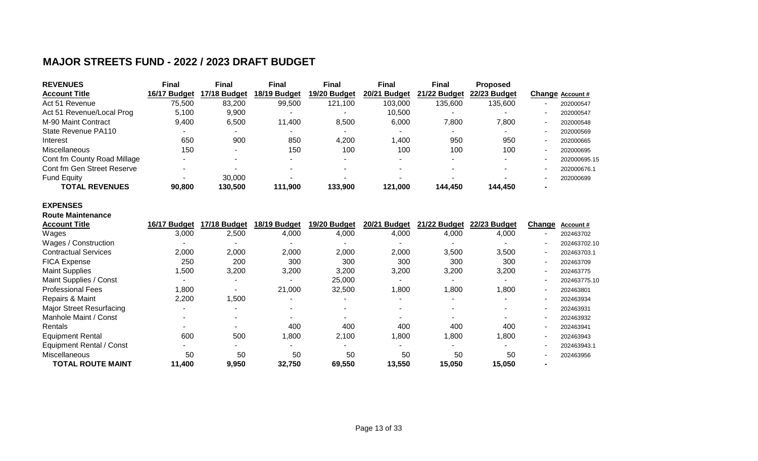### **MAJOR STREETS FUND - 2022 / 2023 DRAFT BUDGET**

| <b>REVENUES</b>             | Final        | <b>Final</b>             | <b>Final</b> | <b>Final</b> | <b>Final</b> | <b>Final</b> | <b>Proposed</b> |                          |                  |
|-----------------------------|--------------|--------------------------|--------------|--------------|--------------|--------------|-----------------|--------------------------|------------------|
| <b>Account Title</b>        | 16/17 Budget | 17/18 Budget             | 18/19 Budget | 19/20 Budget | 20/21 Budget | 21/22 Budget | 22/23 Budget    |                          | Change Account # |
| Act 51 Revenue              | 75,500       | 83,200                   | 99,500       | 121.100      | 103,000      | 135,600      | 135,600         |                          | 202000547        |
| Act 51 Revenue/Local Prog   | 5.100        | 9.900                    |              |              | 10.500       |              |                 |                          | 202000547        |
| M-90 Maint Contract         | 9,400        | 6,500                    | 11.400       | 8,500        | 6.000        | 7.800        | 7,800           |                          | 202000548        |
| State Revenue PA110         |              |                          |              |              |              |              |                 | $\overline{\phantom{0}}$ | 202000569        |
| Interest                    | 650          | 900                      | 850          | 4,200        | 1.400        | 950          | 950             | $\overline{\phantom{0}}$ | 202000665        |
| <b>Miscellaneous</b>        | 150          | $\overline{\phantom{0}}$ | 150          | 100          | 100          | 100          | 100             | $\overline{\phantom{0}}$ | 202000695        |
| Cont fm County Road Millage |              |                          |              |              |              |              |                 |                          | 202000695.15     |
| Cont fm Gen Street Reserve  |              |                          |              |              |              |              |                 |                          | 202000676.1      |
| <b>Fund Equity</b>          |              | 30,000                   |              |              |              |              |                 |                          | 202000699        |
| <b>TOTAL REVENUES</b>       | 90,800       | 130,500                  | 111.900      | 133,900      | 121,000      | 144.450      | 144.450         | $\blacksquare$           |                  |

#### **EXPENSES Route Maintenance**

| <b>Account Title</b>            | 16/17 Budget | 17/18 Budget | 18/19 Budget | 19/20 Budget | 20/21 Budget | 21/22 Budget | 22/23 Budget | Change                   | Account#     |
|---------------------------------|--------------|--------------|--------------|--------------|--------------|--------------|--------------|--------------------------|--------------|
| Wages                           | 3,000        | 2,500        | 4,000        | 4,000        | 4,000        | 4,000        | 4,000        |                          | 202463702    |
| Wages / Construction            |              |              |              |              |              |              |              |                          | 202463702.10 |
| <b>Contractual Services</b>     | 2,000        | 2,000        | 2,000        | 2,000        | 2,000        | 3,500        | 3,500        | ۰                        | 202463703.1  |
| <b>FICA Expense</b>             | 250          | 200          | 300          | 300          | 300          | 300          | 300          | $\blacksquare$           | 202463709    |
| <b>Maint Supplies</b>           | 500, ا       | 3,200        | 3,200        | 3,200        | 3,200        | 3,200        | 3,200        | $\blacksquare$           | 202463775    |
| Maint Supplies / Const          |              |              |              | 25,000       |              |              |              | ۰                        | 202463775.10 |
| <b>Professional Fees</b>        | 1,800        |              | 21,000       | 32,500       | 1,800        | 1,800        | 1,800        | $\overline{\phantom{0}}$ | 202463801    |
| Repairs & Maint                 | 2,200        | 1,500        |              |              |              |              |              | $\overline{\phantom{0}}$ | 202463934    |
| <b>Major Street Resurfacing</b> |              |              |              |              |              |              |              |                          | 202463931    |
| Manhole Maint / Const           |              |              |              |              |              |              |              | $\overline{\phantom{0}}$ | 202463932    |
| <b>Rentals</b>                  |              |              | 400          | 400          | 400          | 400          | 400          | $\overline{\phantom{a}}$ | 202463941    |
| <b>Equipment Rental</b>         | 600          | 500          | 008,         | 2,100        | 1,800        | 0.800        | 1,800        | $\overline{\phantom{0}}$ | 202463943    |
| <b>Equipment Rental / Const</b> |              |              |              |              |              |              |              | ۰                        | 202463943.1  |
| Miscellaneous                   | 50           | 50           | 50           | 50           | 50           | 50           | 50           |                          | 202463956    |
| <b>TOTAL ROUTE MAINT</b>        | 11,400       | 9,950        | 32,750       | 69,550       | 13,550       | 15,050       | 15,050       | -                        |              |
|                                 |              |              |              |              |              |              |              |                          |              |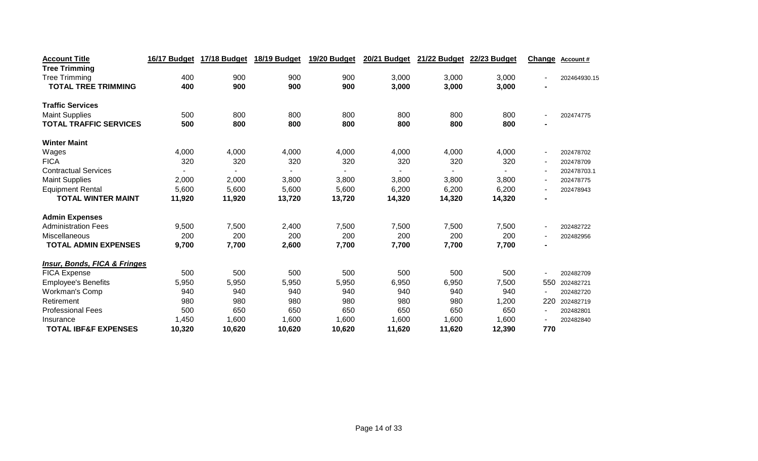| <b>Account Title</b>                    | 16/17 Budget | 17/18 Budget | 18/19 Budget | 19/20 Budget | <b>20/21 Budget</b> | 21/22 Budget | 22/23 Budget | Change                   | Account#     |
|-----------------------------------------|--------------|--------------|--------------|--------------|---------------------|--------------|--------------|--------------------------|--------------|
| <b>Tree Trimming</b>                    |              |              |              |              |                     |              |              |                          |              |
| <b>Tree Trimming</b>                    | 400          | 900          | 900          | 900          | 3,000               | 3,000        | 3,000        |                          | 202464930.15 |
| <b>TOTAL TREE TRIMMING</b>              | 400          | 900          | 900          | 900          | 3,000               | 3,000        | 3,000        | $\blacksquare$           |              |
| <b>Traffic Services</b>                 |              |              |              |              |                     |              |              |                          |              |
| <b>Maint Supplies</b>                   | 500          | 800          | 800          | 800          | 800                 | 800          | 800          |                          | 202474775    |
| <b>TOTAL TRAFFIC SERVICES</b>           | 500          | 800          | 800          | 800          | 800                 | 800          | 800          | $\blacksquare$           |              |
| <b>Winter Maint</b>                     |              |              |              |              |                     |              |              |                          |              |
| Wages                                   | 4,000        | 4,000        | 4,000        | 4,000        | 4,000               | 4,000        | 4,000        | $\overline{\phantom{a}}$ | 202478702    |
| <b>FICA</b>                             | 320          | 320          | 320          | 320          | 320                 | 320          | 320          |                          | 202478709    |
| <b>Contractual Services</b>             |              |              |              |              |                     |              |              |                          | 202478703.1  |
| <b>Maint Supplies</b>                   | 2,000        | 2,000        | 3,800        | 3,800        | 3,800               | 3,800        | 3,800        |                          | 202478775    |
| <b>Equipment Rental</b>                 | 5,600        | 5,600        | 5,600        | 5,600        | 6,200               | 6,200        | 6,200        | $\overline{\phantom{a}}$ | 202478943    |
| <b>TOTAL WINTER MAINT</b>               | 11,920       | 11,920       | 13,720       | 13,720       | 14,320              | 14,320       | 14,320       | $\blacksquare$           |              |
| <b>Admin Expenses</b>                   |              |              |              |              |                     |              |              |                          |              |
| <b>Administration Fees</b>              | 9,500        | 7,500        | 2,400        | 7,500        | 7,500               | 7,500        | 7,500        | $\overline{\phantom{a}}$ | 202482722    |
| Miscellaneous                           | 200          | 200          | 200          | 200          | 200                 | 200          | 200          | $\overline{\phantom{a}}$ | 202482956    |
| <b>TOTAL ADMIN EXPENSES</b>             | 9,700        | 7,700        | 2,600        | 7,700        | 7,700               | 7,700        | 7,700        | $\blacksquare$           |              |
| <b>Insur, Bonds, FICA &amp; Fringes</b> |              |              |              |              |                     |              |              |                          |              |
| <b>FICA Expense</b>                     | 500          | 500          | 500          | 500          | 500                 | 500          | 500          | $\sim$                   | 202482709    |
| <b>Employee's Benefits</b>              | 5,950        | 5,950        | 5,950        | 5,950        | 6,950               | 6,950        | 7,500        | 550                      | 202482721    |
| Workman's Comp                          | 940          | 940          | 940          | 940          | 940                 | 940          | 940          | $\sim$                   | 202482720    |
| Retirement                              | 980          | 980          | 980          | 980          | 980                 | 980          | 1,200        | 220                      | 202482719    |
| <b>Professional Fees</b>                | 500          | 650          | 650          | 650          | 650                 | 650          | 650          | $\overline{\phantom{a}}$ | 202482801    |
| Insurance                               | 1,450        | 1,600        | 1,600        | 1,600        | 1,600               | 1,600        | 1,600        |                          | 202482840    |
| <b>TOTAL IBF&amp;F EXPENSES</b>         | 10,320       | 10,620       | 10,620       | 10,620       | 11,620              | 11,620       | 12,390       | 770                      |              |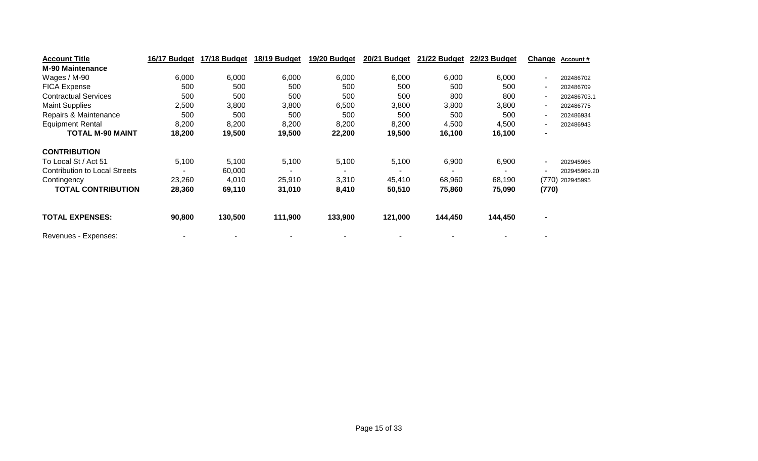| <b>Account Title</b>                 | 16/17 Budget | 17/18 Budget | 18/19 Budget | 19/20 Budget | 20/21 Budget | 21/22 Budget | 22/23 Budget | Change                   | <b>Account #</b> |
|--------------------------------------|--------------|--------------|--------------|--------------|--------------|--------------|--------------|--------------------------|------------------|
| <b>M-90 Maintenance</b>              |              |              |              |              |              |              |              |                          |                  |
| Wages / M-90                         | 6,000        | 6,000        | 6,000        | 6,000        | 6,000        | 6,000        | 6,000        | $\blacksquare$           | 202486702        |
| <b>FICA Expense</b>                  | 500          | 500          | 500          | 500          | 500          | 500          | 500          | $\blacksquare$           | 202486709        |
| <b>Contractual Services</b>          | 500          | 500          | 500          | 500          | 500          | 800          | 800          | $\overline{\phantom{a}}$ | 202486703.1      |
| <b>Maint Supplies</b>                | 2,500        | 3,800        | 3,800        | 6,500        | 3,800        | 3,800        | 3,800        | $\blacksquare$           | 202486775        |
| Repairs & Maintenance                | 500          | 500          | 500          | 500          | 500          | 500          | 500          | $\blacksquare$           | 202486934        |
| <b>Equipment Rental</b>              | 8,200        | 8,200        | 8,200        | 8,200        | 8,200        | 4,500        | 4,500        | $\blacksquare$           | 202486943        |
| <b>TOTAL M-90 MAINT</b>              | 18,200       | 19,500       | 19,500       | 22,200       | 19,500       | 16,100       | 16,100       | $\blacksquare$           |                  |
| <b>CONTRIBUTION</b>                  |              |              |              |              |              |              |              |                          |                  |
| To Local St / Act 51                 | 5,100        | 5,100        | 5,100        | 5,100        | 5,100        | 6,900        | 6,900        | $\blacksquare$           | 202945966        |
| <b>Contribution to Local Streets</b> |              | 60,000       |              |              |              |              |              |                          | 202945969.20     |
| Contingency                          | 23,260       | 4,010        | 25,910       | 3,310        | 45,410       | 68,960       | 68,190       | (770)                    | 202945995        |
| <b>TOTAL CONTRIBUTION</b>            | 28,360       | 69,110       | 31,010       | 8,410        | 50,510       | 75,860       | 75,090       | (770)                    |                  |
| <b>TOTAL EXPENSES:</b>               | 90,800       | 130,500      | 111,900      | 133,900      | 121,000      | 144,450      | 144,450      | $\blacksquare$           |                  |
| Revenues - Expenses:                 |              |              |              |              |              |              |              |                          |                  |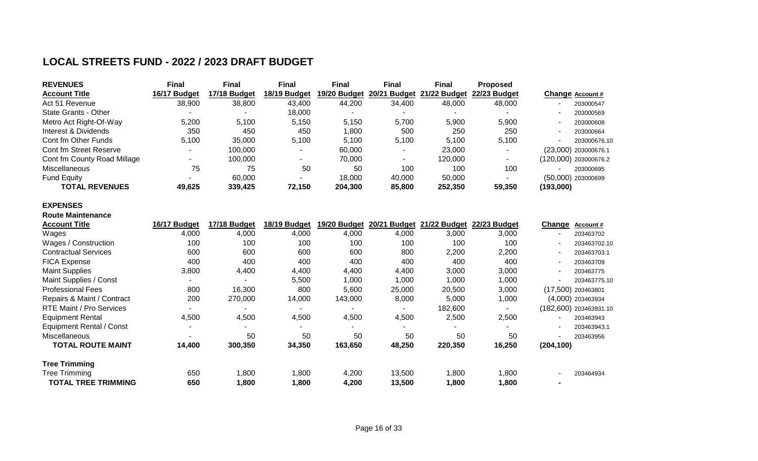### **LOCAL STREETS FUND - 2022 / 2023 DRAFT BUDGET**

| <b>REVENUES</b>             | Final        | <b>Final</b> | <b>Final</b> | <b>Final</b> | <b>Final</b> | <b>Final</b>                           | <b>Proposed</b> |           |                       |
|-----------------------------|--------------|--------------|--------------|--------------|--------------|----------------------------------------|-----------------|-----------|-----------------------|
| <b>Account Title</b>        | 16/17 Budget | 17/18 Budget | 18/19 Budget | 19/20 Budget |              | 20/21 Budget 21/22 Budget 22/23 Budget |                 |           | Change Account #      |
| Act 51 Revenue              | 38,900       | 38,800       | 43,400       | 44,200       | 34,400       | 48,000                                 | 48,000          |           | 203000547             |
| State Grants - Other        |              |              | 18.000       |              |              |                                        |                 |           | 203000569             |
| Metro Act Right-Of-Way      | 5.200        | 5.100        | 5,150        | 5.150        | 5,700        | 5,900                                  | 5,900           |           | 203000608             |
| Interest & Dividends        | 350          | 450          | 450          | 1,800        | 500          | 250                                    | 250             |           | 203000664             |
| Cont fm Other Funds         | 5,100        | 35,000       | 5,100        | 5.100        | 5,100        | 5,100                                  | 5,100           |           | 203000676.10          |
| Cont fm Street Reserve      |              | 100.000      |              | 60,000       |              | 23,000                                 |                 |           | (23,000) 203000676.1  |
| Cont fm County Road Millage |              | 100,000      |              | 70.000       | -            | 120,000                                |                 |           | (120,000) 203000676.2 |
| Miscellaneous               | 75           | 75           | 50           | 50           | 100          | 100                                    | 100             |           | 203000695             |
| <b>Fund Equity</b>          | -            | 60,000       |              | 18,000       | 40,000       | 50,000                                 |                 |           | $(50,000)$ 203000699  |
| <b>TOTAL REVENUES</b>       | 49.625       | 339,425      | 72.150       | 204,300      | 85,800       | 252,350                                | 59,350          | (193,000) |                       |

#### **EXPENSES Route Maintenance**

| <b>Account Title</b>            | 16/17 Budget | 17/18 Budget | 18/19 Budget | 19/20 Budget | 20/21 Budget | 21/22 Budget | 22/23 Budget | Change     | Account#               |
|---------------------------------|--------------|--------------|--------------|--------------|--------------|--------------|--------------|------------|------------------------|
| Wages                           | 4,000        | 4,000        | 4,000        | 4,000        | 4,000        | 3,000        | 3,000        |            | 203463702              |
| Wages / Construction            | 100          | 100          | 100          | 100          | 100          | 100          | 100          |            | 203463702.10           |
| <b>Contractual Services</b>     | 600          | 600          | 600          | 600          | 800          | 2,200        | 2,200        |            | 203463703.1            |
| <b>FICA Expense</b>             | 400          | 400          | 400          | 400          | 400          | 400          | 400          |            | 203463709              |
| <b>Maint Supplies</b>           | 3,800        | 4,400        | 4,400        | 4,400        | 4,400        | 3,000        | 3,000        |            | 203463775              |
| Maint Supplies / Const          |              |              | 5,500        | 1,000        | 000,         | 1,000        | 1,000        |            | 203463775.10           |
| <b>Professional Fees</b>        | 800          | 16,300       | 800          | 5,600        | 25,000       | 20,500       | 3,000        |            | (17,500) 203463801     |
| Repairs & Maint / Contract      | 200          | 270,000      | 14,000       | 143,000      | 8,000        | 5,000        | 1,000        |            | (4,000) 203463934      |
| RTE Maint / Pro Services        |              |              |              |              |              | 182,600      |              |            | (182,600) 203463931.10 |
| <b>Equipment Rental</b>         | 4,500        | 4,500        | 4,500        | 4,500        | 4,500        | 2,500        | 2,500        |            | 203463943              |
| <b>Equipment Rental / Const</b> |              |              |              |              |              |              |              |            | 203463943.1            |
| <b>Miscellaneous</b>            |              | 50           | 50           | 50           | 50           | 50           | 50           |            | 203463956              |
| TOTAL ROUTE MAINT               | 14,400       | 300,350      | 34,350       | 163,650      | 48,250       | 220,350      | 16,250       | (204, 100) |                        |
| <b>Tree Trimming</b>            |              |              |              |              |              |              |              |            |                        |
| <b>Tree Trimming</b>            | 650          | 1,800        | 1,800        | 4,200        | 13,500       | 1,800        | 1,800        |            | 203464934              |
| <b>TOTAL TREE TRIMMING</b>      | 650          | 1,800        | 1,800        | 4,200        | 13,500       | 1,800        | 1,800        |            |                        |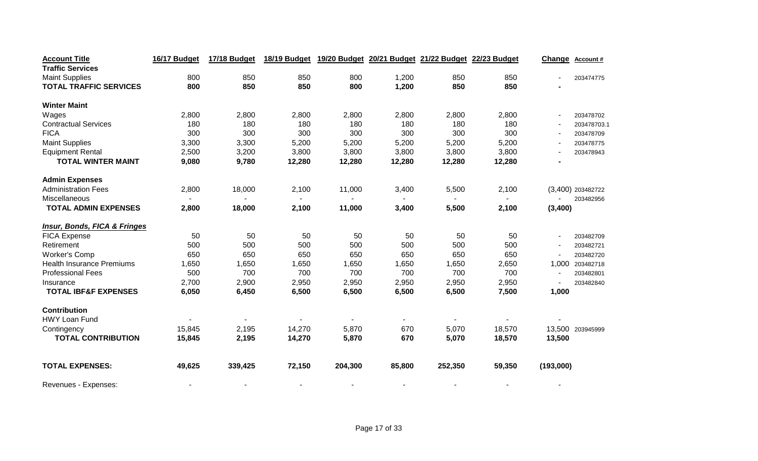| <b>Account Title</b>                    | 16/17 Budget | 17/18 Budget | 18/19 Budget | 19/20 Budget |        | 20/21 Budget 21/22 Budget | 22/23 Budget | Change                   | <b>Account#</b>   |
|-----------------------------------------|--------------|--------------|--------------|--------------|--------|---------------------------|--------------|--------------------------|-------------------|
| <b>Traffic Services</b>                 |              |              |              |              |        |                           |              |                          |                   |
| <b>Maint Supplies</b>                   | 800          | 850          | 850          | 800          | 1,200  | 850                       | 850          |                          | 203474775         |
| <b>TOTAL TRAFFIC SERVICES</b>           | 800          | 850          | 850          | 800          | 1,200  | 850                       | 850          |                          |                   |
| <b>Winter Maint</b>                     |              |              |              |              |        |                           |              |                          |                   |
| Wages                                   | 2,800        | 2,800        | 2,800        | 2,800        | 2,800  | 2,800                     | 2,800        |                          | 203478702         |
| <b>Contractual Services</b>             | 180          | 180          | 180          | 180          | 180    | 180                       | 180          |                          | 203478703.1       |
| <b>FICA</b>                             | 300          | 300          | 300          | 300          | 300    | 300                       | 300          | $\sim$                   | 203478709         |
| <b>Maint Supplies</b>                   | 3,300        | 3,300        | 5,200        | 5,200        | 5,200  | 5,200                     | 5,200        |                          | 203478775         |
| <b>Equipment Rental</b>                 | 2,500        | 3,200        | 3,800        | 3,800        | 3,800  | 3,800                     | 3,800        |                          | 203478943         |
| <b>TOTAL WINTER MAINT</b>               | 9,080        | 9,780        | 12,280       | 12,280       | 12,280 | 12,280                    | 12,280       |                          |                   |
| <b>Admin Expenses</b>                   |              |              |              |              |        |                           |              |                          |                   |
| <b>Administration Fees</b>              | 2,800        | 18,000       | 2,100        | 11,000       | 3,400  | 5,500                     | 2,100        |                          | (3,400) 203482722 |
| Miscellaneous                           |              |              |              |              |        |                           |              |                          | 203482956         |
| <b>TOTAL ADMIN EXPENSES</b>             | 2,800        | 18,000       | 2,100        | 11,000       | 3,400  | 5,500                     | 2,100        | (3,400)                  |                   |
| <b>Insur, Bonds, FICA &amp; Fringes</b> |              |              |              |              |        |                           |              |                          |                   |
| FICA Expense                            | 50           | 50           | 50           | 50           | 50     | 50                        | 50           |                          | 203482709         |
| Retirement                              | 500          | 500          | 500          | 500          | 500    | 500                       | 500          |                          | 203482721         |
| <b>Worker's Comp</b>                    | 650          | 650          | 650          | 650          | 650    | 650                       | 650          | $\overline{\phantom{a}}$ | 203482720         |
| <b>Health Insurance Premiums</b>        | 1,650        | 1,650        | 1,650        | 1,650        | 1,650  | 1,650                     | 2,650        |                          | 1,000 203482718   |
| <b>Professional Fees</b>                | 500          | 700          | 700          | 700          | 700    | 700                       | 700          |                          | 203482801         |
| Insurance                               | 2,700        | 2,900        | 2,950        | 2,950        | 2,950  | 2,950                     | 2,950        |                          | 203482840         |
| <b>TOTAL IBF&amp;F EXPENSES</b>         | 6,050        | 6,450        | 6,500        | 6,500        | 6,500  | 6,500                     | 7,500        | 1,000                    |                   |
| <b>Contribution</b>                     |              |              |              |              |        |                           |              |                          |                   |
| <b>HWY Loan Fund</b>                    |              |              |              |              |        |                           |              |                          |                   |
| Contingency                             | 15,845       | 2,195        | 14,270       | 5,870        | 670    | 5,070                     | 18,570       |                          | 13,500 203945999  |
| <b>TOTAL CONTRIBUTION</b>               | 15,845       | 2,195        | 14,270       | 5,870        | 670    | 5,070                     | 18,570       | 13,500                   |                   |
| <b>TOTAL EXPENSES:</b>                  | 49,625       | 339,425      | 72,150       | 204,300      | 85,800 | 252,350                   | 59,350       | (193,000)                |                   |
| Revenues - Expenses:                    |              |              |              |              |        |                           |              |                          |                   |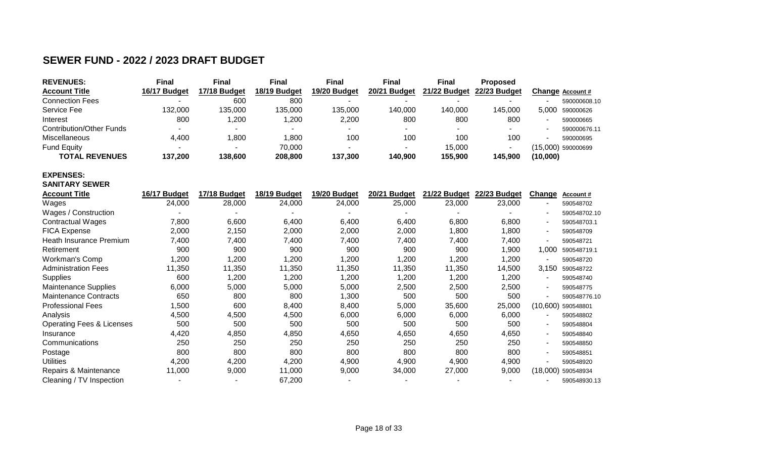# **SEWER FUND - 2022 / 2023 DRAFT BUDGET**

| <b>REVENUES:</b>         | Final                    | <b>Final</b> | <b>Final</b> | <b>Final</b> | <b>Final</b>             | Final        | <b>Proposed</b> |                         |
|--------------------------|--------------------------|--------------|--------------|--------------|--------------------------|--------------|-----------------|-------------------------|
| <b>Account Title</b>     | 16/17 Budget             | 17/18 Budget | 18/19 Budget | 19/20 Budget | 20/21 Budget             | 21/22 Budget | 22/23 Budget    | <b>Change Account #</b> |
| <b>Connection Fees</b>   | $\overline{\phantom{a}}$ | 600          | 800          |              | $\overline{\phantom{a}}$ |              |                 | 590000608.10<br>-       |
| Service Fee              | 132,000                  | 135,000      | 135,000      | 135.000      | 140.000                  | 140.000      | 145,000         | 5.000<br>590000626      |
| Interest                 | 800                      | 1.200        | ,200         | 2.200        | 800                      | 800          | 800             | 590000665               |
| Contribution/Other Funds |                          |              |              |              | $\overline{\phantom{a}}$ |              |                 | 590000676.11            |
| Miscellaneous            | 4,400                    | 1.800        | .800         | 100          | 100                      | 100          | 100             | 590000695<br>-          |
| <b>Fund Equity</b>       |                          |              | 70,000       |              |                          | 15,000       |                 | (15,000) 590000699      |
| <b>TOTAL REVENUES</b>    | 137,200                  | 138,600      | 208,800      | 137,300      | 140.900                  | 155,900      | 145,900         | (10,000)                |

### **EXPENSES: SANITARY SEWER**

| <b>Account Title</b>                 | 16/17 Budget | 17/18 Budget | 18/19 Budget | 19/20 Budget | 20/21 Budget | 21/22 Budget | 22/23 Budget | Change   | Account#     |
|--------------------------------------|--------------|--------------|--------------|--------------|--------------|--------------|--------------|----------|--------------|
| Wages                                | 24,000       | 28,000       | 24,000       | 24,000       | 25,000       | 23,000       | 23,000       |          | 590548702    |
| Wages / Construction                 |              |              |              |              |              |              |              |          | 590548702.10 |
| Contractual Wages                    | 7,800        | 6,600        | 6,400        | 6,400        | 6,400        | 6,800        | 6,800        |          | 590548703.1  |
| <b>FICA Expense</b>                  | 2,000        | 2,150        | 2,000        | 2,000        | 2,000        | 1,800        | 1,800        |          | 590548709    |
| Heath Insurance Premium              | 7,400        | 7,400        | 7,400        | 7,400        | 7,400        | 7,400        | 7,400        |          | 590548721    |
| Retirement                           | 900          | 900          | 900          | 900          | 900          | 900          | 1,900        | 1,000    | 590548719.1  |
| Workman's Comp                       | ,200         | 1,200        | 200, ا       | .200         | 1,200        | 1,200        | 1,200        |          | 590548720    |
| <b>Administration Fees</b>           | 11,350       | 11,350       | 11,350       | 11,350       | 11,350       | 11,350       | 14,500       | 3.150    | 590548722    |
| <b>Supplies</b>                      | 600          | 1,200        | 1,200        | 1,200        | 1,200        | 1,200        | 1,200        |          | 590548740    |
| <b>Maintenance Supplies</b>          | 6,000        | 5,000        | 5,000        | 5,000        | 2,500        | 2,500        | 2,500        |          | 590548775    |
| <b>Maintenance Contracts</b>         | 650          | 800          | 800          | 1,300        | 500          | 500          | 500          |          | 590548776.10 |
| <b>Professional Fees</b>             | ,500         | 600          | 8,400        | 8,400        | 5,000        | 35,600       | 25,000       | (10,600) | 590548801    |
| Analysis                             | 4,500        | 4,500        | 4,500        | 6,000        | 6,000        | 6,000        | 6,000        |          | 590548802    |
| <b>Operating Fees &amp; Licenses</b> | 500          | 500          | 500          | 500          | 500          | 500          | 500          |          | 590548804    |
| Insurance                            | 4,420        | 4,850        | 4,850        | 4,650        | 4,650        | 4,650        | 4,650        |          | 590548840    |
| Communications                       | 250          | 250          | 250          | 250          | 250          | 250          | 250          |          | 590548850    |
| Postage                              | 800          | 800          | 800          | 800          | 800          | 800          | 800          |          | 590548851    |
| <b>Utilities</b>                     | 4,200        | 4,200        | 4,200        | 4,900        | 4,900        | 4,900        | 4,900        |          | 590548920    |
| Repairs & Maintenance                | 11,000       | 9,000        | 11,000       | 9,000        | 34,000       | 27,000       | 9,000        | (18,000) | 590548934    |
| Cleaning / TV Inspection             |              |              | 67,200       |              |              |              |              |          | 590548930.13 |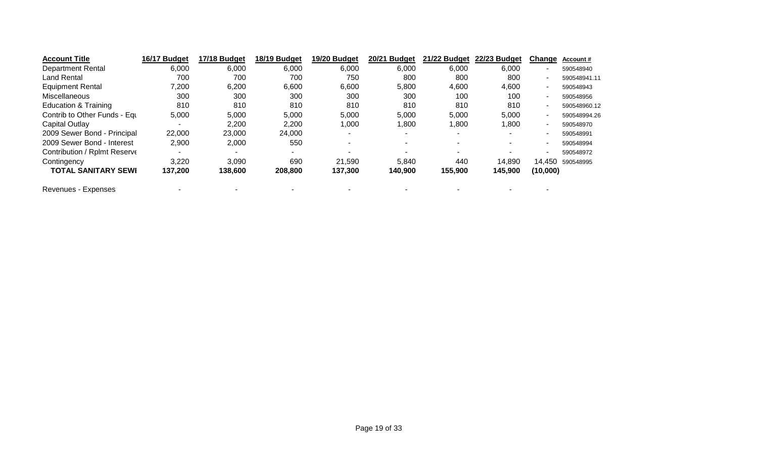| <b>Account Title</b>         | 16/17 Budget             | 17/18 Budget | 18/19 Budget | 19/20 Budget | 20/21 Budget | 21/22 Budget             | 22/23 Budget             | Change                   | Account#     |
|------------------------------|--------------------------|--------------|--------------|--------------|--------------|--------------------------|--------------------------|--------------------------|--------------|
| <b>Department Rental</b>     | 6,000                    | 6,000        | 6,000        | 6,000        | 6,000        | 6,000                    | 6,000                    | ۰                        | 590548940    |
| Land Rental                  | 700                      | 700          | 700          | 750          | 800          | 800                      | 800                      | ٠                        | 590548941.11 |
| <b>Equipment Rental</b>      | 7,200                    | 6,200        | 6,600        | 6,600        | 5,800        | 4,600                    | 4,600                    | ۰                        | 590548943    |
| <b>Miscellaneous</b>         | 300                      | 300          | 300          | 300          | 300          | 100                      | 100                      | ٠                        | 590548956    |
| Education & Training         | 810                      | 810          | 810          | 810          | 810          | 810                      | 810                      | $\overline{\phantom{a}}$ | 590548960.12 |
| Contrib to Other Funds - Equ | 5,000                    | 5,000        | 5,000        | 5,000        | 5,000        | 5,000                    | 5,000                    | $\sim$                   | 590548994.26 |
| Capital Outlay               | $\overline{\phantom{a}}$ | 2,200        | 2,200        | 1,000        | 1.800        | ,800                     | 800, ا                   | $\overline{\phantom{a}}$ | 590548970    |
| 2009 Sewer Bond - Principal  | 22,000                   | 23,000       | 24,000       |              |              | $\overline{\phantom{a}}$ | $\overline{\phantom{a}}$ | $\overline{\phantom{0}}$ | 590548991    |
| 2009 Sewer Bond - Interest   | 2,900                    | 2,000        | 550          |              |              |                          |                          | н.                       | 590548994    |
| Contribution / Rplmt Reserve |                          |              |              |              |              |                          |                          | ٠                        | 590548972    |
| Contingency                  | 3,220                    | 3,090        | 690          | 21,590       | 5.840        | 440                      | 14,890                   | 14.450                   | 590548995    |
| <b>TOTAL SANITARY SEWI</b>   | 137,200                  | 138,600      | 208,800      | 137,300      | 140,900      | 155,900                  | 145,900                  | (10,000)                 |              |

Revenues - Expenses - - - - - - - -

Page 19 of 33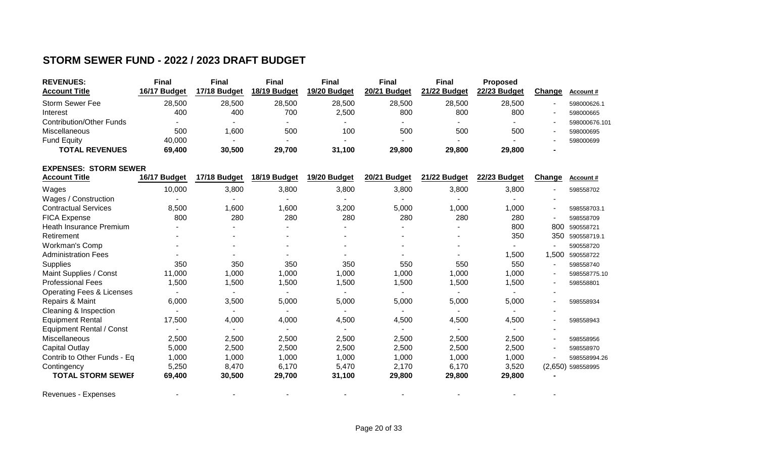# **STORM SEWER FUND - 2022 / 2023 DRAFT BUDGET**

| <b>REVENUES:</b>                | <b>Final</b> | Final                    | Final        | Final        | <b>Final</b>             | <b>Final</b> | Proposed     |                          |                  |
|---------------------------------|--------------|--------------------------|--------------|--------------|--------------------------|--------------|--------------|--------------------------|------------------|
| <b>Account Title</b>            | 16/17 Budget | 17/18 Budget             | 18/19 Budget | 19/20 Budget | 20/21 Budget             | 21/22 Budget | 22/23 Budget | Change                   | <b>Account #</b> |
| Storm Sewer Fee                 | 28,500       | 28.500                   | 28,500       | 28,500       | 28,500                   | 28,500       | 28,500       |                          | 598000626.1      |
| Interest                        | 400          | 400                      | 700          | 2.500        | 800                      | 800          | 800          |                          | 598000665        |
| <b>Contribution/Other Funds</b> |              | $\overline{\phantom{a}}$ | ۰            |              | $\overline{\phantom{a}}$ |              | $\sim$       | $\overline{\phantom{a}}$ | 598000676.101    |
| <b>Miscellaneous</b>            | 500          | .600                     | 500          | 100          | 500                      | 500          | 500          |                          | 598000695        |
| <b>Fund Equity</b>              | 40,000       |                          | ۰            |              | $\overline{\phantom{a}}$ |              | ٠            | $\overline{\phantom{a}}$ | 598000699        |
| <b>TOTAL REVENUES</b>           | 69,400       | 30,500                   | 29,700       | 31,100       | 29,800                   | 29,800       | 29,800       | $\overline{\phantom{a}}$ |                  |

### **EXPENSES: STORM SEWER**

| <b>Account Title</b>                 | 16/17 Budget | 17/18 Budget | 18/19 Budget | 19/20 Budget | 20/21 Budget | 21/22 Budget | 22/23 Budget | Change                   | Account#            |
|--------------------------------------|--------------|--------------|--------------|--------------|--------------|--------------|--------------|--------------------------|---------------------|
| Wages                                | 10,000       | 3,800        | 3,800        | 3,800        | 3,800        | 3,800        | 3,800        |                          | 598558702           |
| Wages / Construction                 |              |              |              |              |              |              |              |                          |                     |
| <b>Contractual Services</b>          | 8,500        | ,600         | 000,         | 3,200        | 5,000        | 1,000        | 1,000        | $\overline{\phantom{a}}$ | 598558703.1         |
| <b>FICA Expense</b>                  | 800          | 280          | 280          | 280          | 280          | 280          | 280          |                          | 598558709           |
| Heath Insurance Premium              |              |              |              |              |              |              | 800          | 800                      | 590558721           |
| Retirement                           |              |              |              |              |              |              | 350          | 350                      | 590558719.1         |
| Workman's Comp                       |              |              |              |              |              |              |              |                          | 590558720           |
| <b>Administration Fees</b>           |              |              |              |              |              |              | 1,500        | 1,500                    | 590558722           |
| <b>Supplies</b>                      | 350          | 350          | 350          | 350          | 550          | 550          | 550          | $\overline{\phantom{a}}$ | 598558740           |
| Maint Supplies / Const               | 11,000       | ,000         | 1,000        | 1,000        | 1,000        | 1,000        | 1,000        | $\overline{\phantom{a}}$ | 598558775.10        |
| <b>Professional Fees</b>             | 1,500        | ,500         | 1,500        | 1,500        | 1,500        | 1,500        | 1,500        | $\blacksquare$           | 598558801           |
| <b>Operating Fees &amp; Licenses</b> |              |              |              |              |              |              |              |                          |                     |
| Repairs & Maint                      | 6,000        | 3,500        | 5,000        | 5,000        | 5,000        | 5,000        | 5,000        | $\blacksquare$           | 598558934           |
| Cleaning & Inspection                |              |              |              |              |              |              |              |                          |                     |
| <b>Equipment Rental</b>              | 17,500       | 4,000        | 4,000        | 4,500        | 4,500        | 4,500        | 4,500        | $\overline{\phantom{a}}$ | 598558943           |
| <b>Equipment Rental / Const</b>      |              |              |              |              |              |              |              |                          |                     |
| <b>Miscellaneous</b>                 | 2,500        | 2,500        | 2,500        | 2,500        | 2,500        | 2,500        | 2,500        |                          | 598558956           |
| <b>Capital Outlay</b>                | 5,000        | 2,500        | 2,500        | 2,500        | 2,500        | 2,500        | 2,500        |                          | 598558970           |
| Contrib to Other Funds - Eq          | 1,000        | 1,000        | 1,000        | 1,000        | 1,000        | 1,000        | 1,000        |                          | 598558994.26        |
| Contingency                          | 5,250        | 8,470        | 6,170        | 5,470        | 2,170        | 6,170        | 3,520        |                          | $(2,650)$ 598558995 |
| <b>TOTAL STORM SEWEF</b>             | 69,400       | 30,500       | 29,700       | 31,100       | 29,800       | 29,800       | 29,800       |                          |                     |
| Revenues - Expenses                  |              |              |              |              |              |              |              |                          |                     |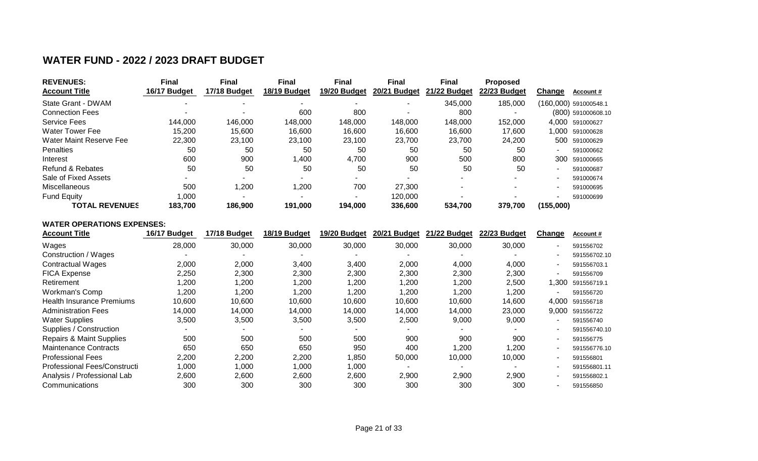# **WATER FUND - 2022 / 2023 DRAFT BUDGET**

| <b>REVENUES:</b>            | <b>Final</b> | Final        | <b>Final</b> | Final        | Final        | Final        | <b>Proposed</b> |           |                       |
|-----------------------------|--------------|--------------|--------------|--------------|--------------|--------------|-----------------|-----------|-----------------------|
| <b>Account Title</b>        | 16/17 Budget | 17/18 Budget | 18/19 Budget | 19/20 Budget | 20/21 Budget | 21/22 Budget | 22/23 Budget    | Change    | Account#              |
| State Grant - DWAM          |              |              |              |              |              | 345,000      | 185,000         |           | (160,000) 591000548.1 |
| <b>Connection Fees</b>      |              |              | 600          | 800          |              | 800          |                 |           | (800) 591000608.10    |
| <b>Service Fees</b>         | 144,000      | 146,000      | 148,000      | 148,000      | 148,000      | 148,000      | 152,000         |           | 4,000 591000627       |
| <b>Water Tower Fee</b>      | 15,200       | 15.600       | 16.600       | 16,600       | 16,600       | 16,600       | 17,600          | 1,000     | 591000628             |
| Water Maint Reserve Fee     | 22,300       | 23,100       | 23,100       | 23,100       | 23,700       | 23,700       | 24,200          | 500       | 591000629             |
| <b>Penalties</b>            | 50           | 50           | 50           | 50           | 50           | 50           | 50              |           | 591000662             |
| Interest                    | 600          | 900          | 1,400        | 4,700        | 900          | 500          | 800             | 300       | 591000665             |
| <b>Refund &amp; Rebates</b> | 50           | 50           | 50           | 50           | 50           | 50           | 50              |           | 591000687             |
| Sale of Fixed Assets        |              |              |              | $\sim$       |              |              |                 |           | 591000674             |
| <b>Miscellaneous</b>        | 500          | 1,200        | 1,200        | 700          | 27,300       |              |                 |           | 591000695             |
| <b>Fund Equity</b>          | 1,000        |              |              |              | 120,000      |              |                 |           | 591000699             |
| <b>TOTAL REVENUES</b>       | 183.700      | 186,900      | 191,000      | 194,000      | 336,600      | 534,700      | 379.700         | (155,000) |                       |

### **WATER OPERATIONS EXPENSES:**

| <b>Account Title</b>                | 16/17 Budget | 17/18 Budget | 18/19 Budget | 19/20 Budget | 20/21 Budget | 21/22 Budget | 22/23 Budget | Change                   | Account#     |
|-------------------------------------|--------------|--------------|--------------|--------------|--------------|--------------|--------------|--------------------------|--------------|
| Wages                               | 28,000       | 30,000       | 30,000       | 30,000       | 30,000       | 30,000       | 30,000       |                          | 591556702    |
| Construction / Wages                |              |              |              |              |              |              |              |                          | 591556702.10 |
| <b>Contractual Wages</b>            | 2,000        | 2,000        | 3,400        | 3,400        | 2,000        | 4,000        | 4,000        |                          | 591556703.1  |
| <b>FICA Expense</b>                 | 2,250        | 2,300        | 2,300        | 2,300        | 2,300        | 2,300        | 2,300        |                          | 591556709    |
| Retirement                          | 1,200        | 200, ا       | 200, ا       | 1,200        | 1,200        | 1,200        | 2,500        | 1.300                    | 591556719.1  |
| Workman's Comp                      | 1,200        | ,200         | 200, ا       | 1,200        | 1,200        | 1,200        | 1,200        |                          | 591556720    |
| <b>Health Insurance Premiums</b>    | 10,600       | 10,600       | 10,600       | 10,600       | 10,600       | 10,600       | 14,600       | 4,000                    | 591556718    |
| <b>Administration Fees</b>          | 14,000       | 14,000       | 14,000       | 14,000       | 14,000       | 14,000       | 23,000       | 9,000                    | 591556722    |
| <b>Water Supplies</b>               | 3,500        | 3,500        | 3,500        | 3,500        | 2,500        | 9,000        | 9,000        |                          | 591556740    |
| Supplies / Construction             |              | $\sim$       |              |              |              |              |              |                          | 591556740.10 |
| <b>Repairs &amp; Maint Supplies</b> | 500          | 500          | 500          | 500          | 900          | 900          | 900          |                          | 591556775    |
| <b>Maintenance Contracts</b>        | 650          | 650          | 650          | 950          | 400          | 1,200        | 1,200        |                          | 591556776.10 |
| <b>Professional Fees</b>            | 2,200        | 2,200        | 2,200        | 1,850        | 50,000       | 10,000       | 10,000       | $\overline{\phantom{a}}$ | 591556801    |
| Professional Fees/Constructi        | 1,000        | 1,000        | 1,000        | 1,000        |              |              |              |                          | 591556801.11 |
| Analysis / Professional Lab         | 2,600        | 2,600        | 2,600        | 2,600        | 2,900        | 2,900        | 2,900        |                          | 591556802.1  |
| Communications                      | 300          | 300          | 300          | 300          | 300          | 300          | 300          |                          | 591556850    |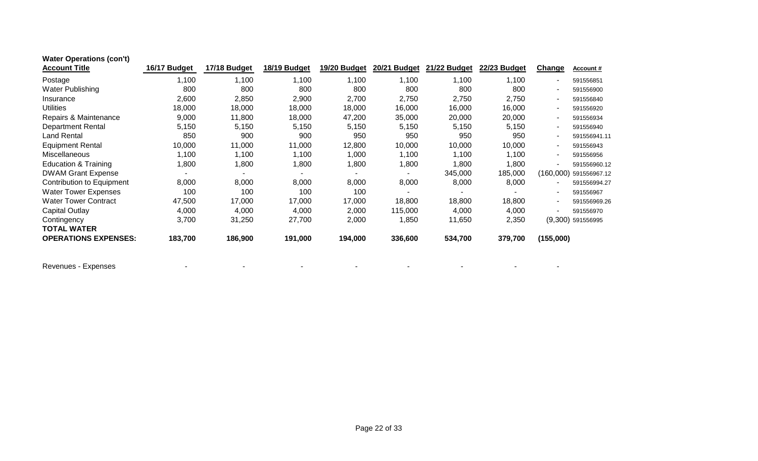| <b>Water Operations (con't)</b> |              |              |              |              |              |              |              |               |                        |
|---------------------------------|--------------|--------------|--------------|--------------|--------------|--------------|--------------|---------------|------------------------|
| <b>Account Title</b>            | 16/17 Budget | 17/18 Budget | 18/19 Budget | 19/20 Budget | 20/21 Budget | 21/22 Budget | 22/23 Budget | <b>Change</b> | <b>Account #</b>       |
| Postage                         | 1,100        | 1,100        | 1,100        | 1,100        | 1,100        | 1,100        | 1,100        |               | 591556851              |
| Water Publishing                | 800          | 800          | 800          | 800          | 800          | 800          | 800          |               | 591556900              |
| Insurance                       | 2,600        | 2,850        | 2,900        | 2,700        | 2,750        | 2,750        | 2,750        |               | 591556840              |
| <b>Utilities</b>                | 18,000       | 18,000       | 18,000       | 18,000       | 16,000       | 16,000       | 16,000       |               | 591556920              |
| Repairs & Maintenance           | 9,000        | 11,800       | 18,000       | 47,200       | 35,000       | 20,000       | 20,000       |               | 591556934              |
| <b>Department Rental</b>        | 5,150        | 5,150        | 5,150        | 5,150        | 5,150        | 5,150        | 5,150        |               | 591556940              |
| <b>Land Rental</b>              | 850          | 900          | 900          | 950          | 950          | 950          | 950          |               | 591556941.11           |
| <b>Equipment Rental</b>         | 10,000       | 11,000       | 11,000       | 12,800       | 10,000       | 10,000       | 10,000       |               | 591556943              |
| Miscellaneous                   | 1,100        | 1,100        | 1,100        | 1,000        | 1,100        | 1,100        | 1,100        |               | 591556956              |
| <b>Education &amp; Training</b> | 1,800        | 1,800        | 1,800        | 1,800        | 1,800        | 1,800        | 1,800        |               | 591556960.12           |
| <b>DWAM Grant Expense</b>       |              |              |              |              |              | 345,000      | 185,000      |               | (160,000) 591556967.12 |
| Contribution to Equipment       | 8,000        | 8,000        | 8,000        | 8,000        | 8,000        | 8,000        | 8,000        |               | 591556994.27           |
| <b>Water Tower Expenses</b>     | 100          | 100          | 100          | 100          |              |              |              |               | 591556967              |
| <b>Water Tower Contract</b>     | 47,500       | 17,000       | 17,000       | 17,000       | 18,800       | 18,800       | 18,800       |               | 591556969.26           |
| Capital Outlay                  | 4,000        | 4,000        | 4,000        | 2,000        | 115,000      | 4,000        | 4,000        |               | 591556970              |
| Contingency                     | 3,700        | 31,250       | 27,700       | 2,000        | 1,850        | 11,650       | 2,350        |               | $(9,300)$ 591556995    |
| <b>TOTAL WATER</b>              |              |              |              |              |              |              |              |               |                        |
| <b>OPERATIONS EXPENSES:</b>     | 183,700      | 186,900      | 191,000      | 194,000      | 336,600      | 534,700      | 379,700      | (155,000)     |                        |
| Revenues - Expenses             |              |              |              |              |              |              |              |               |                        |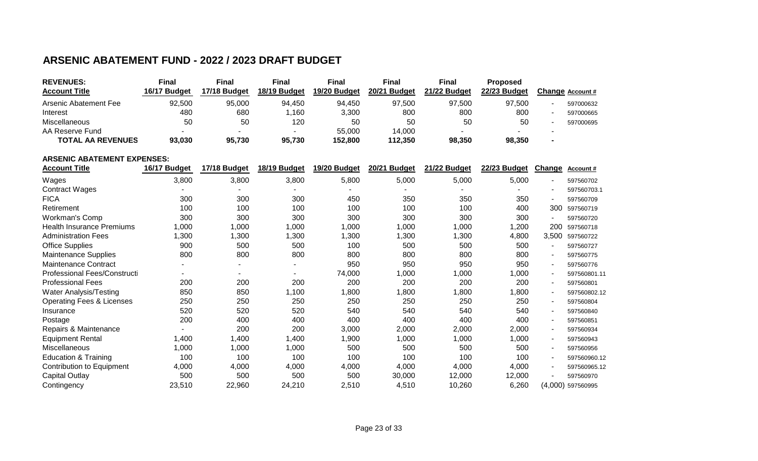# **ARSENIC ABATEMENT FUND - 2022 / 2023 DRAFT BUDGET**

| <b>REVENUES:</b>         | Final        | <b>Final</b>             | Final        | Final        | Final        | Final        | <b>Proposed</b> |   |                  |
|--------------------------|--------------|--------------------------|--------------|--------------|--------------|--------------|-----------------|---|------------------|
| <b>Account Title</b>     | 16/17 Budget | 17/18 Budget             | 18/19 Budget | 19/20 Budget | 20/21 Budget | 21/22 Budget | 22/23 Budget    |   | Change Account # |
| Arsenic Abatement Fee    | 92,500       | 95.000                   | 94.450       | 94.450       | 97.500       | 97.500       | 97.500          |   | 597000632        |
| Interest                 | 480          | 680                      | ,160         | 3,300        | 800          | 800          | 800             | - | 597000665        |
| Miscellaneous            | 50           | 50                       | 120          | 50           | 50           | 50           | 50              |   | 597000695        |
| AA Reserve Fund          |              | $\overline{\phantom{a}}$ |              | 55,000       | 14.000       |              |                 |   |                  |
| <b>TOTAL AA REVENUES</b> | 93.030       | 95,730                   | 95.730       | 152.800      | 112,350      | 98,350       | 98.350          |   |                  |

#### **ARSENIC ABATEMENT EXPENSES:**

| <b>Account Title</b>                 | 16/17 Budget | 17/18 Budget | 18/19 Budget | 19/20 Budget | 20/21 Budget | 21/22 Budget | 22/23 Budget | Change                   | Account#            |
|--------------------------------------|--------------|--------------|--------------|--------------|--------------|--------------|--------------|--------------------------|---------------------|
| Wages                                | 3,800        | 3,800        | 3,800        | 5,800        | 5,000        | 5,000        | 5,000        | $\overline{\phantom{a}}$ | 597560702           |
| <b>Contract Wages</b>                |              |              |              |              |              |              |              | $\blacksquare$           | 597560703.1         |
| <b>FICA</b>                          | 300          | 300          | 300          | 450          | 350          | 350          | 350          | $\blacksquare$           | 597560709           |
| Retirement                           | 100          | 100          | 100          | 100          | 100          | 100          | 400          | 300                      | 597560719           |
| Workman's Comp                       | 300          | 300          | 300          | 300          | 300          | 300          | 300          |                          | 597560720           |
| <b>Health Insurance Premiums</b>     | 1,000        | 1,000        | 1,000        | 1,000        | 1,000        | 1,000        | 1,200        | 200                      | 597560718           |
| <b>Administration Fees</b>           | 1,300        | 1,300        | 1,300        | 1,300        | 1,300        | 1,300        | 4,800        | 3,500                    | 597560722           |
| <b>Office Supplies</b>               | 900          | 500          | 500          | 100          | 500          | 500          | 500          |                          | 597560727           |
| <b>Maintenance Supplies</b>          | 800          | 800          | 800          | 800          | 800          | 800          | 800          | -                        | 597560775           |
| <b>Maintenance Contract</b>          |              |              |              | 950          | 950          | 950          | 950          | $\overline{a}$           | 597560776           |
| Professional Fees/Constructi         |              |              |              | 74,000       | 1,000        | 1,000        | 1,000        | $\blacksquare$           | 597560801.11        |
| <b>Professional Fees</b>             | 200          | 200          | 200          | 200          | 200          | 200          | 200          | $\overline{\phantom{a}}$ | 597560801           |
| <b>Water Analysis/Testing</b>        | 850          | 850          | 1,100        | 1,800        | 1,800        | 1,800        | 1,800        | $\overline{\phantom{a}}$ | 597560802.12        |
| <b>Operating Fees &amp; Licenses</b> | 250          | 250          | 250          | 250          | 250          | 250          | 250          | $\overline{\phantom{a}}$ | 597560804           |
| Insurance                            | 520          | 520          | 520          | 540          | 540          | 540          | 540          | $\overline{a}$           | 597560840           |
| Postage                              | 200          | 400          | 400          | 400          | 400          | 400          | 400          | $\blacksquare$           | 597560851           |
| Repairs & Maintenance                |              | 200          | 200          | 3,000        | 2,000        | 2,000        | 2,000        | $\overline{a}$           | 597560934           |
| <b>Equipment Rental</b>              | 1,400        | 1,400        | 1,400        | 1,900        | 1,000        | 1,000        | 1,000        | $\overline{\phantom{a}}$ | 597560943           |
| <b>Miscellaneous</b>                 | 1,000        | 1,000        | 1,000        | 500          | 500          | 500          | 500          | $\blacksquare$           | 597560956           |
| <b>Education &amp; Training</b>      | 100          | 100          | 100          | 100          | 100          | 100          | 100          | $\blacksquare$           | 597560960.12        |
| Contribution to Equipment            | 4,000        | 4,000        | 4,000        | 4,000        | 4,000        | 4,000        | 4,000        | $\blacksquare$           | 597560965.12        |
| <b>Capital Outlay</b>                | 500          | 500          | 500          | 500          | 30,000       | 12,000       | 12,000       |                          | 597560970           |
| Contingency                          | 23,510       | 22,960       | 24,210       | 2,510        | 4,510        | 10,260       | 6,260        |                          | $(4,000)$ 597560995 |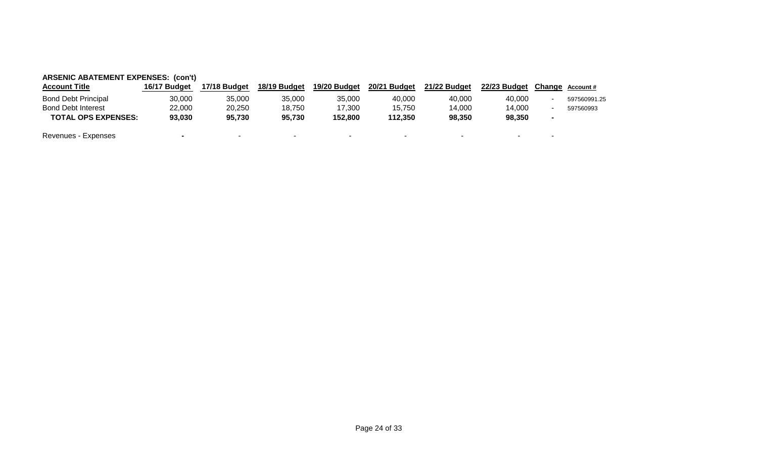| <b>ARSENIC ABATEMENT EXPENSES: (con't)</b> |                          |              |              |              |              |              |              |  |                 |  |  |  |  |
|--------------------------------------------|--------------------------|--------------|--------------|--------------|--------------|--------------|--------------|--|-----------------|--|--|--|--|
| <b>Account Title</b>                       | 16/17 Budget             | 17/18 Budget | 18/19 Budget | 19/20 Budget | 20/21 Budget | 21/22 Budget | 22/23 Budget |  | Change Account# |  |  |  |  |
| <b>Bond Debt Principal</b>                 | 30,000                   | 35,000       | 35,000       | 35,000       | 40.000       | 40.000       | 40.000       |  | 597560991.25    |  |  |  |  |
| <b>Bond Debt Interest</b>                  | 22,000                   | 20,250       | 18.750       | 17.300       | 15,750       | 14.000       | 14.000       |  | 597560993       |  |  |  |  |
| <b>TOTAL OPS EXPENSES:</b>                 | 93,030                   | 95,730       | 95,730       | 152.800      | 112,350      | 98,350       | 98,350       |  |                 |  |  |  |  |
| Revenues - Expenses                        | $\overline{\phantom{a}}$ | $\sim$       | $\sim$       |              |              |              |              |  |                 |  |  |  |  |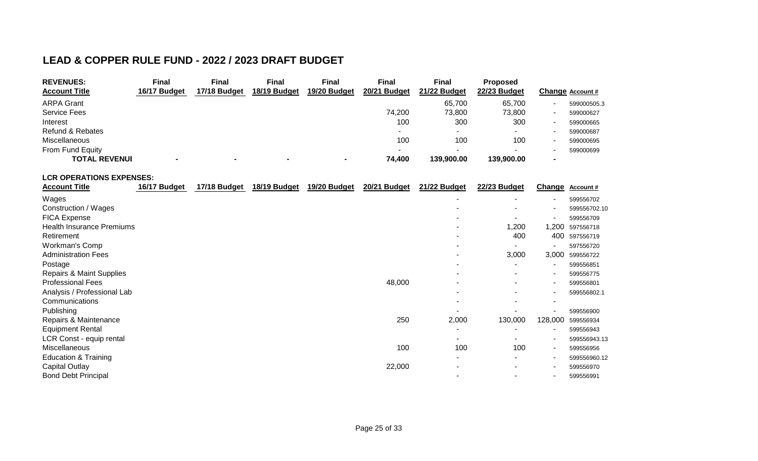# **LEAD & COPPER RULE FUND - 2022 / 2023 DRAFT BUDGET**

| <b>REVENUES:</b>            | <b>Final</b> | Final        | <b>Final</b>             | Final        | Final                    | Final        | <b>Proposed</b> |                  |
|-----------------------------|--------------|--------------|--------------------------|--------------|--------------------------|--------------|-----------------|------------------|
| <b>Account Title</b>        | 16/17 Budget | 17/18 Budget | 18/19 Budget             | 19/20 Budget | 20/21 Budget             | 21/22 Budget | 22/23 Budget    | Change Account # |
| <b>ARPA Grant</b>           |              |              |                          |              |                          | 65,700       | 65,700          | 599000505.3      |
| <b>Service Fees</b>         |              |              |                          |              | 74.200                   | 73,800       | 73,800          | 599000627        |
| Interest                    |              |              |                          |              | 100                      | 300          | 300             | 599000665        |
| <b>Refund &amp; Rebates</b> |              |              |                          |              | $\overline{\phantom{a}}$ |              |                 | 599000687        |
| Miscellaneous               |              |              |                          |              | 100                      | 100          | 100             | 599000695        |
| <b>From Fund Equity</b>     |              |              |                          |              | $\overline{\phantom{a}}$ |              |                 | 599000699        |
| <b>TOTAL REVENUI</b>        |              |              | $\overline{\phantom{a}}$ |              | 74,400                   | 139,900.00   | 139,900.00      |                  |

#### **LCR OPERATIONS EXPENSES:**

| <b>Account Title</b>                | 16/17 Budget | 17/18 Budget | 18/19 Budget | 19/20 Budget | 20/21 Budget | 21/22 Budget | 22/23 Budget             | <b>Change</b>            | <b>Account #</b> |
|-------------------------------------|--------------|--------------|--------------|--------------|--------------|--------------|--------------------------|--------------------------|------------------|
| Wages                               |              |              |              |              |              |              |                          | ۰                        | 599556702        |
| Construction / Wages                |              |              |              |              |              |              | $\overline{\phantom{a}}$ |                          | 599556702.10     |
| <b>FICA Expense</b>                 |              |              |              |              |              |              |                          |                          | 599556709        |
| <b>Health Insurance Premiums</b>    |              |              |              |              |              |              | 1,200                    | ,200                     | 597556718        |
| Retirement                          |              |              |              |              |              |              | 400                      | 400                      | 597556719        |
| Workman's Comp                      |              |              |              |              |              |              |                          |                          | 597556720        |
| <b>Administration Fees</b>          |              |              |              |              |              |              | 3,000                    | 3,000                    | 599556722        |
| Postage                             |              |              |              |              |              |              |                          | $\overline{\phantom{a}}$ | 599556851        |
| <b>Repairs &amp; Maint Supplies</b> |              |              |              |              |              |              |                          | $\qquad \qquad$          | 599556775        |
| <b>Professional Fees</b>            |              |              |              |              | 48,000       |              | $\sim$                   |                          | 599556801        |
| Analysis / Professional Lab         |              |              |              |              |              |              | $\overline{\phantom{a}}$ | ۰                        | 599556802.1      |
| Communications                      |              |              |              |              |              |              |                          | ۰                        |                  |
| Publishing                          |              |              |              |              |              |              |                          |                          | 599556900        |
| Repairs & Maintenance               |              |              |              |              | 250          | 2,000        | 130,000                  | 128,000                  | 599556934        |
| <b>Equipment Rental</b>             |              |              |              |              |              |              |                          | $\qquad \qquad$          | 599556943        |
| LCR Const - equip rental            |              |              |              |              |              |              |                          | $\overline{\phantom{a}}$ | 599556943.13     |
| Miscellaneous                       |              |              |              |              | 100          | 100          | 100                      | $\overline{\phantom{a}}$ | 599556956        |
| Education & Training                |              |              |              |              |              |              | $\sim$                   | ۰                        | 599556960.12     |
| Capital Outlay                      |              |              |              |              | 22,000       |              | $\overline{\phantom{a}}$ | $\overline{\phantom{a}}$ | 599556970        |
| <b>Bond Debt Principal</b>          |              |              |              |              |              |              | $\overline{\phantom{a}}$ | ٠                        | 599556991        |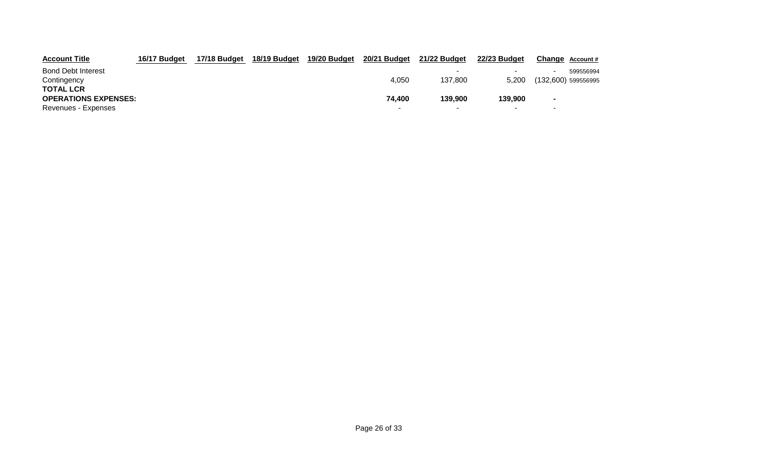| <b>Account Title</b>        | 16/17 Budget | 17/18 Budget | 18/19 Budget | 19/20 Budget | 20/21 Budget | 21/22 Budget             | 22/23 Budget | Change Account#          |
|-----------------------------|--------------|--------------|--------------|--------------|--------------|--------------------------|--------------|--------------------------|
| <b>Bond Debt Interest</b>   |              |              |              |              |              | $\overline{\phantom{0}}$ |              | 599556994                |
| Contingency                 |              |              |              |              | 4.050        | 137.800                  | 5.200        | $(132,600)$ 599556995    |
| <b>TOTAL LCR</b>            |              |              |              |              |              |                          |              |                          |
| <b>OPERATIONS EXPENSES:</b> |              |              |              |              | 74.400       | 139,900                  | 139,900      | $\sim$                   |
| Revenues - Expenses         |              |              |              |              |              | $\overline{\phantom{0}}$ |              | $\overline{\phantom{0}}$ |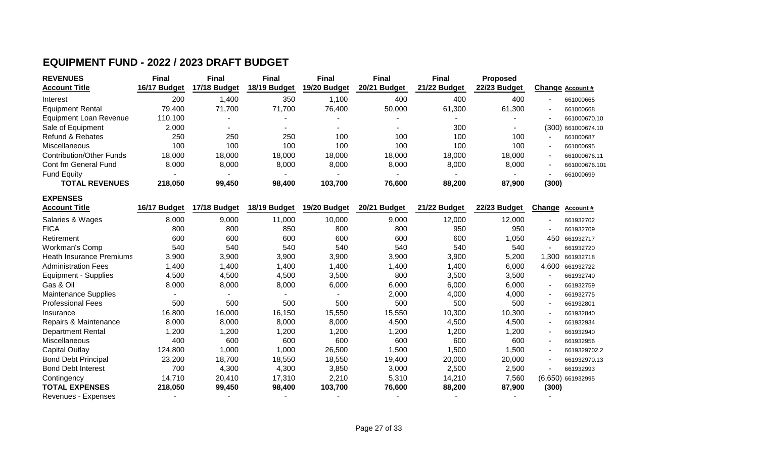### **EQUIPMENT FUND - 2022 / 2023 DRAFT BUDGET**

**EXPENSES**

| <b>REVENUES</b>               | <b>Final</b> | <b>Final</b> | <b>Final</b>             | <b>Final</b>             | Final        | <b>Final</b> | <b>Proposed</b> |                                           |
|-------------------------------|--------------|--------------|--------------------------|--------------------------|--------------|--------------|-----------------|-------------------------------------------|
| <b>Account Title</b>          | 16/17 Budget | 17/18 Budget | 18/19 Budget             | 19/20 Budget             | 20/21 Budget | 21/22 Budget | 22/23 Budget    | Change Account #                          |
| Interest                      | 200          | 1,400        | 350                      | 1,100                    | 400          | 400          | 400             | 661000665<br>$\overline{\phantom{a}}$     |
| <b>Equipment Rental</b>       | 79.400       | 71,700       | 71,700                   | 76.400                   | 50,000       | 61,300       | 61,300          | 661000668<br>$\overline{\phantom{a}}$     |
| <b>Equipment Loan Revenue</b> | 110.100      |              |                          |                          |              |              |                 | 661000670.10<br>$\overline{\phantom{a}}$  |
| Sale of Equipment             | 2.000        |              | $\overline{\phantom{a}}$ | $\overline{\phantom{0}}$ | -            | 300          |                 | (300) 661000674.10                        |
| <b>Refund &amp; Rebates</b>   | 250          | 250          | 250                      | 100                      | 100          | 100          | 100             | 661000687<br>$\overline{\phantom{a}}$     |
| <b>Miscellaneous</b>          | 100          | 100          | 100                      | 100                      | 100          | 100          | 100             | 661000695<br>$\overline{\phantom{a}}$     |
| Contribution/Other Funds      | 18,000       | 18,000       | 18,000                   | 18,000                   | 18,000       | 18,000       | 18,000          | 661000676.11<br>$\overline{\phantom{a}}$  |
| Cont fm General Fund          | 8.000        | 8,000        | 8,000                    | 8,000                    | 8,000        | 8.000        | 8,000           | 661000676.101<br>$\overline{\phantom{0}}$ |
| <b>Fund Equity</b>            |              |              |                          |                          |              |              |                 | 661000699<br>$\overline{\phantom{a}}$     |
| <b>TOTAL REVENUES</b>         | 218,050      | 99,450       | 98,400                   | 103,700                  | 76,600       | 88,200       | 87,900          | (300)                                     |

| <b>Account Title</b>            | 16/17 Budget | 17/18 Budget | 18/19 Budget | 19/20 Budget | 20/21 Budget | 21/22 Budget | 22/23 Budget | <b>Change</b>            | <u>Account #</u>  |
|---------------------------------|--------------|--------------|--------------|--------------|--------------|--------------|--------------|--------------------------|-------------------|
| Salaries & Wages                | 8,000        | 9,000        | 11,000       | 10,000       | 9,000        | 12,000       | 12,000       | $\overline{\phantom{a}}$ | 661932702         |
| <b>FICA</b>                     | 800          | 800          | 850          | 800          | 800          | 950          | 950          |                          | 661932709         |
| Retirement                      | 600          | 600          | 600          | 600          | 600          | 600          | 1,050        | 450                      | 661932717         |
| Workman's Comp                  | 540          | 540          | 540          | 540          | 540          | 540          | 540          |                          | 661932720         |
| <b>Heath Insurance Premiums</b> | 3,900        | 3,900        | 3,900        | 3,900        | 3,900        | 3,900        | 5,200        | 1,300                    | 661932718         |
| <b>Administration Fees</b>      | 1,400        | 1,400        | 1,400        | 1,400        | 1,400        | 1,400        | 6,000        | 4,600                    | 661932722         |
| <b>Equipment - Supplies</b>     | 4,500        | 4,500        | 4,500        | 3,500        | 800          | 3,500        | 3,500        |                          | 661932740         |
| Gas & Oil                       | 8,000        | 8,000        | 8,000        | 6,000        | 6,000        | 6,000        | 6,000        |                          | 661932759         |
| <b>Maintenance Supplies</b>     |              |              |              |              | 2,000        | 4,000        | 4,000        |                          | 661932775         |
| <b>Professional Fees</b>        | 500          | 500          | 500          | 500          | 500          | 500          | 500          |                          | 661932801         |
| Insurance                       | 16,800       | 16,000       | 16,150       | 15,550       | 15,550       | 10,300       | 10,300       |                          | 661932840         |
| Repairs & Maintenance           | 8,000        | 8,000        | 8,000        | 8,000        | 4,500        | 4,500        | 4,500        |                          | 661932934         |
| <b>Department Rental</b>        | 1,200        | 1,200        | 1,200        | 1,200        | 1,200        | 1,200        | 1,200        |                          | 661932940         |
| Miscellaneous                   | 400          | 600          | 600          | 600          | 600          | 600          | 600          |                          | 661932956         |
| Capital Outlay                  | 124,800      | 1,000        | 1,000        | 26,500       | 1,500        | 1,500        | 1,500        |                          | 6619329702.2      |
| <b>Bond Debt Principal</b>      | 23,200       | 18,700       | 18,550       | 18,550       | 19,400       | 20,000       | 20,000       |                          | 661932970.13      |
| <b>Bond Debt Interest</b>       | 700          | 4,300        | 4,300        | 3,850        | 3,000        | 2,500        | 2,500        |                          | 661932993         |
| Contingency                     | 14,710       | 20,410       | 17,310       | 2,210        | 5,310        | 14,210       | 7,560        |                          | (6,650) 661932995 |
| <b>TOTAL EXPENSES</b>           | 218,050      | 99,450       | 98,400       | 103,700      | 76,600       | 88,200       | 87,900       | (300)                    |                   |
| Revenues - Expenses             |              |              |              |              |              |              |              |                          |                   |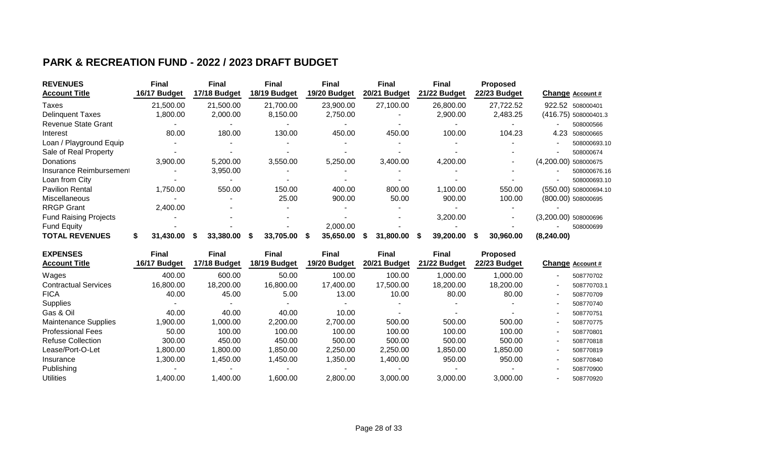### **PARK & RECREATION FUND - 2022 / 2023 DRAFT BUDGET**

| <b>REVENUES</b>              | <b>Final</b>   | <b>Final</b> | <b>Final</b>   | <b>Final</b> | <b>Final</b> | <b>Final</b>   | <b>Proposed</b> |                       |
|------------------------------|----------------|--------------|----------------|--------------|--------------|----------------|-----------------|-----------------------|
| <b>Account Title</b>         | 16/17 Budget   | 17/18 Budget | 18/19 Budget   | 19/20 Budget | 20/21 Budget | 21/22 Budget   | 22/23 Budget    | Change Account #      |
| Taxes                        | 21,500.00      | 21,500.00    | 21,700.00      | 23,900.00    | 27,100.00    | 26,800.00      | 27,722.52       | 922.52 508000401      |
| <b>Delinquent Taxes</b>      | 1,800.00       | 2,000.00     | 8,150.00       | 2,750.00     |              | 2,900.00       | 2,483.25        | (416.75) 508000401.3  |
| <b>Revenue State Grant</b>   |                |              |                |              |              |                |                 | 508000566             |
| Interest                     | 80.00          | 180.00       | 130.00         | 450.00       | 450.00       | 100.00         | 104.23          | 4.23<br>508000665     |
| Loan / Playground Equip      |                |              |                |              |              |                |                 | 508000693.10          |
| Sale of Real Property        |                |              |                |              |              |                |                 | 508000674             |
| <b>Donations</b>             | 3,900.00       | 5,200.00     | 3,550.00       | 5,250.00     | 3,400.00     | 4,200.00       |                 | (4,200.00) 508000675  |
| Insurance Reimbursement      |                | 3,950.00     |                |              |              |                |                 | 508000676.16          |
| Loan from City               |                |              |                |              |              |                |                 | 508000693.10          |
| <b>Pavilion Rental</b>       | 1,750.00       | 550.00       | 150.00         | 400.00       | 800.00       | 1,100.00       | 550.00          | (550.00) 508000694.10 |
| Miscellaneous                |                |              | 25.00          | 900.00       | 50.00        | 900.00         | 100.00          | (800.00) 508000695    |
| <b>RRGP Grant</b>            | 2,400.00       |              |                |              |              |                |                 |                       |
| <b>Fund Raising Projects</b> |                |              |                |              |              | 3,200.00       |                 | (3,200.00) 508000696  |
| Fund Equity                  |                |              |                | 2,000.00     |              |                |                 | 508000699             |
| <b>TOTAL REVENUES</b>        | 31,430.00<br>S | 33,380.00    | 33,705.00<br>S | 35,650.00    | 31,800,00    | 39,200.00<br>S | 30,960.00       | (8,240.00)            |

| <b>EXPENSES</b>             | <b>Final</b> | <b>Final</b> | Final        | <b>Final</b> | <b>Final</b> | <b>Final</b> | <b>Proposed</b> |    |                  |
|-----------------------------|--------------|--------------|--------------|--------------|--------------|--------------|-----------------|----|------------------|
| <b>Account Title</b>        | 16/17 Budget | 17/18 Budget | 18/19 Budget | 19/20 Budget | 20/21 Budget | 21/22 Budget | 22/23 Budget    |    | Change Account # |
| Wages                       | 400.00       | 600.00       | 50.00        | 100.00       | 100.00       | 1,000.00     | 1,000.00        |    | 508770702        |
| <b>Contractual Services</b> | 16,800.00    | 18,200.00    | 16,800.00    | 17,400.00    | 17,500.00    | 18.200.00    | 18,200.00       |    | 508770703.1      |
| <b>FICA</b>                 | 40.00        | 45.00        | 5.00         | 13.00        | 10.00        | 80.00        | 80.00           |    | 508770709        |
| Supplies                    |              |              |              |              |              |              |                 |    | 508770740        |
| Gas & Oil                   | 40.00        | 40.00        | 40.00        | 10.00        |              |              |                 | ۰  | 508770751        |
| <b>Maintenance Supplies</b> | ,900.00      | 00.000,1     | 2,200.00     | 2,700.00     | 500.00       | 500.00       | 500.00          | -  | 508770775        |
| <b>Professional Fees</b>    | 50.00        | 100.00       | 100.00       | 100.00       | 100.00       | 100.00       | 100.00          | ٠. | 508770801        |
| <b>Refuse Collection</b>    | 300.00       | 450.00       | 450.00       | 500.00       | 500.00       | 500.00       | 500.00          |    | 508770818        |
| Lease/Port-O-Let            | ,800.00      | 0.000.00     | ,850.00      | 2,250.00     | 2,250.00     | ,850.00      | 1,850.00        |    | 508770819        |
| Insurance                   | ,300.00      | 1,450.00     | 1,450.00     | 1,350.00     | 1,400.00     | 950.00       | 950.00          | ۰  | 508770840        |
| Publishing                  |              |              |              |              |              |              |                 |    | 508770900        |
| <b>Utilities</b>            | .400.00      | 1,400.00     | .600.00      | 2,800.00     | 3,000.00     | 3,000.00     | 3,000.00        |    | 508770920        |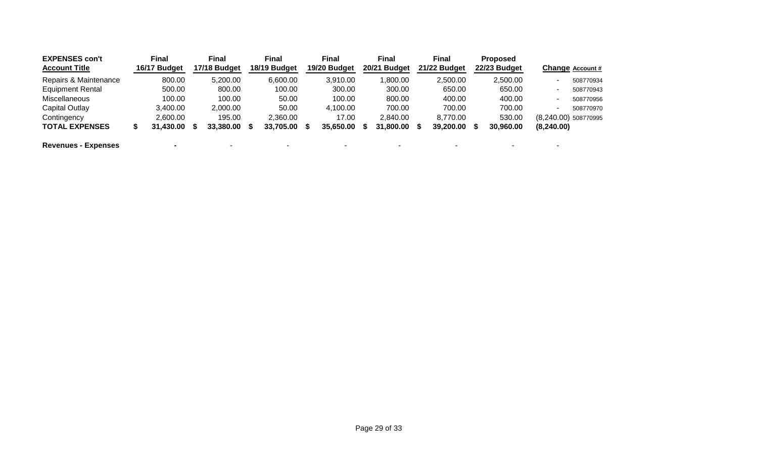| <b>EXPENSES con't</b>      | <b>Final</b> | <b>Final</b> | <b>Final</b> | <b>Final</b> | <b>Final</b> | <b>Final</b> | <b>Proposed</b> |            |                      |
|----------------------------|--------------|--------------|--------------|--------------|--------------|--------------|-----------------|------------|----------------------|
| <b>Account Title</b>       | 16/17 Budget | 17/18 Budget | 18/19 Budget | 19/20 Budget | 20/21 Budget | 21/22 Budget | 22/23 Budget    |            | Change Account #     |
| Repairs & Maintenance      | 800.00       | 5,200.00     | 6,600.00     | 3,910.00     | 00.00,1      | 2,500.00     | 2,500.00        |            | 508770934            |
| <b>Equipment Rental</b>    | 500.00       | 800.00       | 100.00       | 300.00       | 300.00       | 650.00       | 650.00          | ۰          | 508770943            |
| Miscellaneous              | 100.00       | 100.00       | 50.00        | 100.00       | 800.00       | 400.00       | 400.00          | ۰          | 508770956            |
| Capital Outlay             | 3,400.00     | 2,000.00     | 50.00        | 4,100.00     | 700.00       | 700.00       | 700.00          | ۰          | 508770970            |
| Contingency                | 2.600.00     | 195.00       | 2.360.00     | 17.00        | 2.840.00     | 8.770.00     | 530.00          |            | (8,240.00) 508770995 |
| <b>TOTAL EXPENSES</b>      | 31,430.00    | 33,380.00    | 33,705.00    | 35,650.00    | 31,800.00    | 39,200.00    | 30,960.00       | (8,240.00) |                      |
| <b>Revenues - Expenses</b> |              |              |              |              |              |              |                 |            |                      |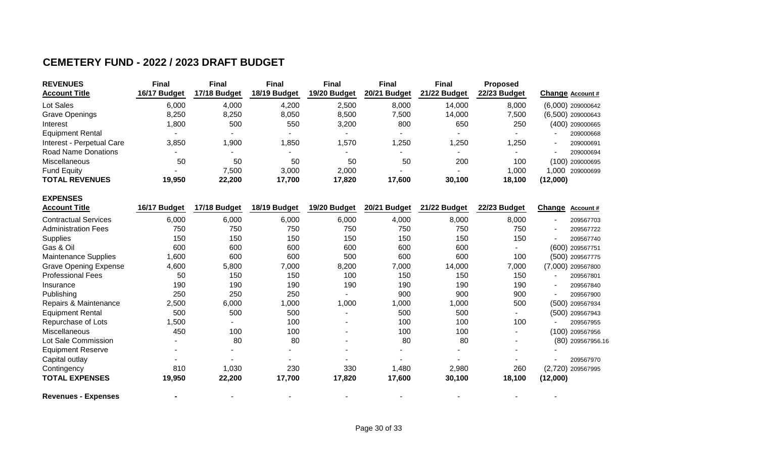### **CEMETERY FUND - 2022 / 2023 DRAFT BUDGET**

**EXPENSES**

| <b>REVENUES</b>            | Final        | <b>Final</b> | Final        | <b>Final</b>             | <b>Final</b> | <b>Final</b>             | <b>Proposed</b> |                     |
|----------------------------|--------------|--------------|--------------|--------------------------|--------------|--------------------------|-----------------|---------------------|
| <b>Account Title</b>       | 16/17 Budget | 17/18 Budget | 18/19 Budget | 19/20 Budget             | 20/21 Budget | 21/22 Budget             | 22/23 Budget    | Change Account #    |
| Lot Sales                  | 6,000        | 4,000        | 4,200        | 2,500                    | 8,000        | 14,000                   | 8,000           | $(6,000)$ 209000642 |
| <b>Grave Openings</b>      | 8,250        | 8,250        | 8,050        | 8,500                    | 7,500        | 14,000                   | 7,500           | $(6,500)$ 209000643 |
| Interest                   | 1,800        | 500          | 550          | 3,200                    | 800          | 650                      | 250             | (400) 209000665     |
| <b>Equipment Rental</b>    |              |              |              |                          |              |                          |                 | 209000668<br>$\sim$ |
| Interest - Perpetual Care  | 3,850        | 1,900        | ,850         | ,570                     | 1,250        | ,250                     | ,250            | 209000691<br>۰.     |
| <b>Road Name Donations</b> |              | $\sim$       |              | $\overline{\phantom{a}}$ | $\sim$       | $\overline{\phantom{a}}$ |                 | 209000694           |
| <b>Miscellaneous</b>       | 50           | 50           | 50           | 50                       | 50           | 200                      | 100             | (100) 209000695     |
| <b>Fund Equity</b>         |              | 7,500        | 3,000        | 2,000                    |              |                          | 1,000           | 1.000<br>209000699  |
| <b>TOTAL REVENUES</b>      | 19,950       | 22,200       | 17,700       | 17,820                   | 17,600       | 30,100                   | 18,100          | (12,000)            |

| <b>Account Title</b>         | 16/17 Budget | 17/18 Budget | 18/19 Budget | 19/20 Budget             | 20/21<br><b>Budget</b> | 21/22 Budget | 22/23 Budget | <b>Change</b> | Account#          |
|------------------------------|--------------|--------------|--------------|--------------------------|------------------------|--------------|--------------|---------------|-------------------|
| <b>Contractual Services</b>  | 6,000        | 6,000        | 6,000        | 6,000                    | 4,000                  | 8,000        | 8,000        |               | 209567703         |
| <b>Administration Fees</b>   | 750          | 750          | 750          | 750                      | 750                    | 750          | 750          |               | 209567722         |
| <b>Supplies</b>              | 150          | 150          | 150          | 150                      | 150                    | 150          | 150          |               | 209567740         |
| Gas & Oil                    | 600          | 600          | 600          | 600                      | 600                    | 600          | ۰            |               | (600) 209567751   |
| <b>Maintenance Supplies</b>  | ,600         | 600          | 600          | 500                      | 600                    | 600          | 100          |               | (500) 209567775   |
| <b>Grave Opening Expense</b> | 4,600        | 5,800        | 7,000        | 8,200                    | 7,000                  | 14,000       | 7,000        |               | (7,000) 209567800 |
| <b>Professional Fees</b>     | 50           | 150          | 150          | 100                      | 150                    | 150          | 150          |               | 209567801         |
| Insurance                    | 190          | 190          | 190          | 190                      | 190                    | 190          | 190          |               | 209567840         |
| Publishing                   | 250          | 250          | 250          |                          | 900                    | 900          | 900          |               | 209567900         |
| Repairs & Maintenance        | 2,500        | 6,000        | 1,000        | 1,000                    | 1,000                  | 1,000        | 500          |               | (500) 209567934   |
| <b>Equipment Rental</b>      | 500          | 500          | 500          |                          | 500                    | 500          |              |               | (500) 209567943   |
| Repurchase of Lots           | ,500         |              | 100          | $\overline{\phantom{a}}$ | 100                    | 100          | 100          |               | 209567955         |
| Miscellaneous                | 450          | 100          | 100          | $\overline{\phantom{a}}$ | 100                    | 100          |              |               | (100) 209567956   |
| Lot Sale Commission          | -            | 80           | 80           | $\overline{\phantom{a}}$ | 80                     | 80           |              |               | (80) 209567956.16 |
| <b>Equipment Reserve</b>     |              |              |              | $\overline{\phantom{a}}$ |                        |              |              |               |                   |
| Capital outlay               |              |              |              |                          |                        |              |              |               | 209567970         |
| Contingency                  | 810          | 1,030        | 230          | 330                      | 1,480                  | 2,980        | 260          |               | (2,720) 209567995 |
| <b>TOTAL EXPENSES</b>        | 19,950       | 22,200       | 17,700       | 17,820                   | 17,600                 | 30,100       | 18,100       | (12,000)      |                   |
| <b>Revenues - Expenses</b>   |              |              |              |                          |                        |              |              |               |                   |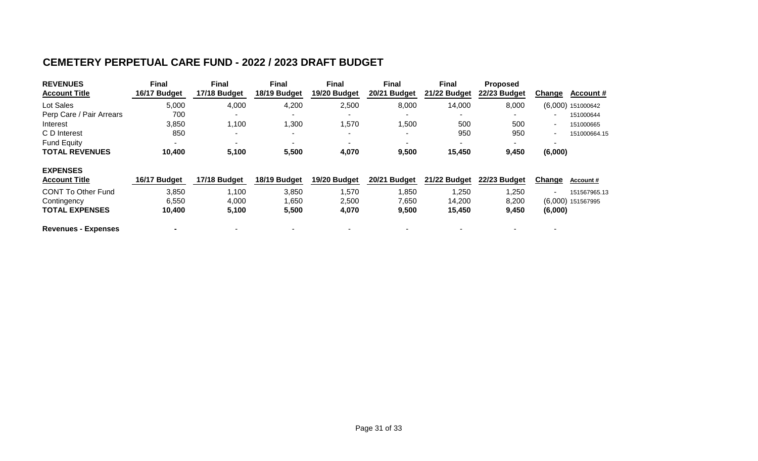### **CEMETERY PERPETUAL CARE FUND - 2022 / 2023 DRAFT BUDGET**

| <b>REVENUES</b><br><b>Account Title</b> | <b>Final</b><br>16/17 Budget | <b>Final</b><br>17/18 Budget | <b>Final</b><br>18/19 Budget | <b>Final</b><br>19/20 Budget | <b>Final</b><br>20/21 Budget | <b>Final</b><br>21/22 Budget | <b>Proposed</b><br>22/23 Budget | <b>Change</b><br>Account #     |
|-----------------------------------------|------------------------------|------------------------------|------------------------------|------------------------------|------------------------------|------------------------------|---------------------------------|--------------------------------|
| Lot Sales                               | 5,000                        | 4,000                        | 4,200                        | 2,500                        | 8,000                        | 14,000                       | 8,000                           | $(6,000)$ 151000642            |
| Perp Care / Pair Arrears                | 700                          |                              |                              |                              |                              |                              |                                 | 151000644                      |
| Interest                                | 3,850                        | 1,100                        | 1,300                        | 1,570                        | 1,500                        | 500                          | 500                             | 151000665<br>۰                 |
| C D Interest                            | 850                          | $\overline{\phantom{a}}$     |                              | $\overline{\phantom{a}}$     |                              | 950                          | 950                             | 151000664.15<br>$\blacksquare$ |
| <b>Fund Equity</b>                      |                              |                              |                              |                              |                              |                              |                                 |                                |
| <b>TOTAL REVENUES</b>                   | 10,400                       | 5,100                        | 5,500                        | 4,070                        | 9,500                        | 15,450                       | 9,450                           | (6,000)                        |
| <b>EXPENSES</b><br><b>Account Title</b> | 16/17 Budget                 | 17/18 Budget                 | 18/19 Budget                 | 19/20 Budget                 | 20/21 Budget                 | 21/22 Budget                 | 22/23 Budget                    | Change<br><b>Account #</b>     |
| <b>CONT To Other Fund</b>               | 3,850                        | 1,100                        | 3,850                        | 1,570                        | 1,850                        | ,250                         | 1,250                           | 151567965.13<br>۰              |
| Contingency                             | 6,550                        | 4,000                        | 1,650                        | 2,500                        | 7,650                        | 14,200                       | 8,200                           | (6,000) 151567995              |
| <b>TOTAL EXPENSES</b>                   | 10,400                       | 5,100                        | 5,500                        | 4,070                        | 9,500                        | 15,450                       | 9,450                           | (6,000)                        |
| <b>Revenues - Expenses</b>              |                              |                              |                              |                              |                              |                              |                                 |                                |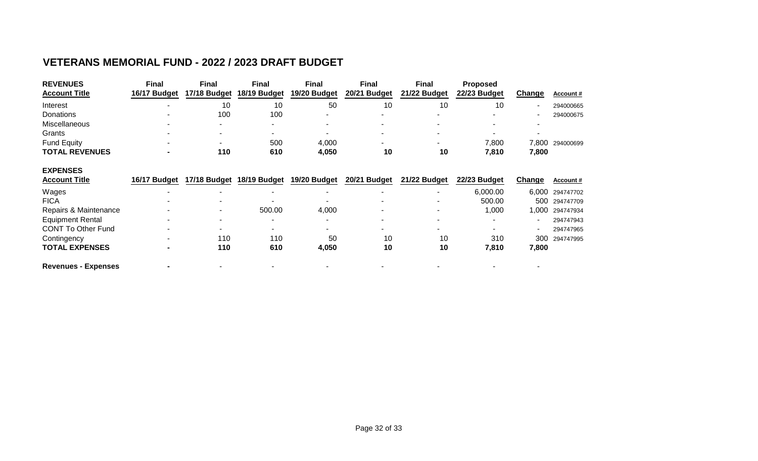### **VETERANS MEMORIAL FUND - 2022 / 2023 DRAFT BUDGET**

| <b>REVENUES</b><br><b>Account Title</b> | <b>Final</b><br>16/17 Budget | <b>Final</b><br>17/18 Budget | <b>Final</b><br>18/19 Budget | <b>Final</b><br>19/20 Budget | <b>Final</b><br>20/21 Budget | <b>Final</b><br>21/22 Budget | <b>Proposed</b><br>22/23 Budget | Change        | Account#         |
|-----------------------------------------|------------------------------|------------------------------|------------------------------|------------------------------|------------------------------|------------------------------|---------------------------------|---------------|------------------|
| Interest                                | $\overline{\phantom{a}}$     | 10                           | 10                           | 50                           | 10                           | 10                           | 10                              |               | 294000665        |
| Donations                               |                              | 100                          | 100                          |                              |                              |                              |                                 |               | 294000675        |
| Miscellaneous                           |                              |                              |                              |                              |                              |                              |                                 |               |                  |
| Grants                                  |                              | $\overline{\phantom{0}}$     |                              |                              |                              |                              |                                 |               |                  |
| <b>Fund Equity</b>                      |                              |                              | 500                          | 4,000                        |                              |                              | 7,800                           | 7,800         | 294000699        |
| <b>TOTAL REVENUES</b>                   | $\blacksquare$               | 110                          | 610                          | 4,050                        | 10                           | 10                           | 7,810                           | 7,800         |                  |
| <b>EXPENSES</b>                         |                              |                              |                              |                              |                              |                              |                                 |               |                  |
| <b>Account Title</b>                    | 16/17 Budget                 |                              | 17/18 Budget 18/19 Budget    | 19/20 Budget                 | 20/21 Budget                 | 21/22 Budget                 | 22/23 Budget                    | <b>Change</b> | <b>Account #</b> |
| Wages                                   |                              |                              |                              |                              |                              | ٠                            | 6,000.00                        | 6,000         | 294747702        |
| <b>FICA</b>                             |                              |                              |                              |                              |                              |                              | 500.00                          | 500           | 294747709        |
| Repairs & Maintenance                   |                              |                              | 500.00                       | 4,000                        |                              | ۰                            | 1,000                           | 1,000         | 294747934        |
| <b>Equipment Rental</b>                 |                              | ۰                            |                              |                              |                              | ۰                            |                                 |               | 294747943        |
| <b>CONT To Other Fund</b>               |                              | $\blacksquare$               |                              |                              |                              |                              |                                 |               | 294747965        |
| Contingency                             |                              | 110                          | 110                          | 50                           | 10                           | 10                           | 310                             | 300           | 294747995        |
| <b>TOTAL EXPENSES</b>                   |                              | 110                          | 610                          | 4,050                        | 10                           | 10                           | 7,810                           | 7,800         |                  |
| <b>Revenues - Expenses</b>              |                              |                              |                              |                              |                              |                              |                                 |               |                  |